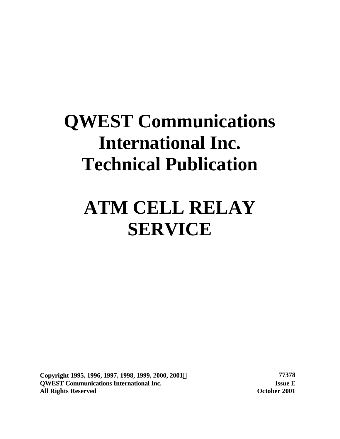# **QWEST Communications International Inc. Technical Publication**

# **ATM CELL RELAY SERVICE**

**Copyright 1995, 1996, 1997, 1998, 1999, 2000, 2001Ó 77378 QWEST Communications International Inc. Issue E All Rights Reserved October 2001**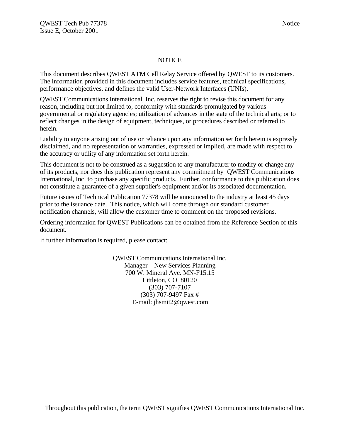#### NOTICE

This document describes QWEST ATM Cell Relay Service offered by QWEST to its customers. The information provided in this document includes service features, technical specifications, performance objectives, and defines the valid User-Network Interfaces (UNIs).

QWEST Communications International, Inc. reserves the right to revise this document for any reason, including but not limited to, conformity with standards promulgated by various governmental or regulatory agencies; utilization of advances in the state of the technical arts; or to reflect changes in the design of equipment, techniques, or procedures described or referred to herein.

Liability to anyone arising out of use or reliance upon any information set forth herein is expressly disclaimed, and no representation or warranties, expressed or implied, are made with respect to the accuracy or utility of any information set forth herein.

This document is not to be construed as a suggestion to any manufacturer to modify or change any of its products, nor does this publication represent any commitment by QWEST Communications International, Inc. to purchase any specific products. Further, conformance to this publication does not constitute a guarantee of a given supplier's equipment and/or its associated documentation.

Future issues of Technical Publication 77378 will be announced to the industry at least 45 days prior to the issuance date. This notice, which will come through our standard customer notification channels, will allow the customer time to comment on the proposed revisions.

Ordering information for QWEST Publications can be obtained from the Reference Section of this document.

If further information is required, please contact:

QWEST Communications International Inc. Manager – New Services Planning 700 W. Mineral Ave. MN-F15.15 Littleton, CO 80120 (303) 707-7107 (303) 707-9497 Fax # E-mail: jhsmit2@qwest.com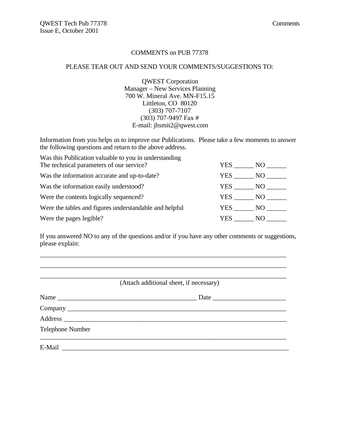#### COMMENTS on PUB 77378

#### PLEASE TEAR OUT AND SEND YOUR COMMENTS/SUGGESTIONS TO:

QWEST Corporation Manager – New Services Planning 700 W. Mineral Ave. MN-F15.15 Littleton, CO 80120 (303) 707-7107 (303) 707-9497 Fax # E-mail: jhsmit2@qwest.com

Information from you helps us to improve our Publications. Please take a few moments to answer the following questions and return to the above address.

| Was this Publication valuable to you in understanding  |        |      |
|--------------------------------------------------------|--------|------|
| The technical parameters of our service?               | YES    | NO - |
| Was the information accurate and up-to-date?           | YES    | NO   |
| Was the information easily understood?                 | YES NO |      |
| Were the contents logically sequenced?                 | YES NO |      |
| Were the tables and figures understandable and helpful | YES NO |      |
| Were the pages legible?                                | YES.   | NO.  |

If you answered NO to any of the questions and/or if you have any other comments or suggestions, please explain:

\_\_\_\_\_\_\_\_\_\_\_\_\_\_\_\_\_\_\_\_\_\_\_\_\_\_\_\_\_\_\_\_\_\_\_\_\_\_\_\_\_\_\_\_\_\_\_\_\_\_\_\_\_\_\_\_\_\_\_\_\_\_\_\_\_\_\_\_\_\_\_\_\_\_

|                         | (Attach additional sheet, if necessary) |
|-------------------------|-----------------------------------------|
| Name                    |                                         |
|                         |                                         |
|                         |                                         |
| <b>Telephone Number</b> |                                         |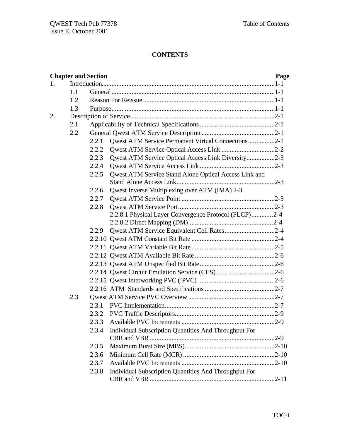# **CONTENTS**

|    |     | <b>Chapter and Section</b> |                                                       | Page |
|----|-----|----------------------------|-------------------------------------------------------|------|
| 1. |     |                            |                                                       |      |
|    | 1.1 |                            |                                                       |      |
|    | 1.2 |                            |                                                       |      |
|    | 1.3 |                            |                                                       |      |
| 2. |     |                            |                                                       |      |
|    | 2.1 |                            |                                                       |      |
|    | 2.2 |                            |                                                       |      |
|    |     | 2.2.1                      | Qwest ATM Service Permanent Virtual Connections2-1    |      |
|    |     | 2.2.2                      |                                                       |      |
|    |     | 2.2.3                      | Qwest ATM Service Optical Access Link Diversity2-3    |      |
|    |     | 2.2.4                      |                                                       |      |
|    |     | 2.2.5                      | Qwest ATM Service Stand Alone Optical Access Link and |      |
|    |     |                            |                                                       |      |
|    |     | 2.2.6                      | Qwest Inverse Multiplexing over ATM (IMA) 2-3         |      |
|    |     | 2.2.7                      |                                                       |      |
|    |     | 2.2.8                      |                                                       |      |
|    |     |                            | 2.2.8.1 Physical Layer Convergence Protocol (PLCP)2-4 |      |
|    |     |                            |                                                       |      |
|    |     | 2.2.9                      | Qwest ATM Service Equivalent Cell Rates2-4            |      |
|    |     |                            |                                                       |      |
|    |     |                            |                                                       |      |
|    |     |                            |                                                       |      |
|    |     |                            |                                                       |      |
|    |     |                            |                                                       |      |
|    |     |                            |                                                       |      |
|    |     |                            |                                                       |      |
|    | 2.3 |                            |                                                       |      |
|    |     | 2.3.1                      |                                                       |      |
|    |     |                            |                                                       |      |
|    |     | 2.3.3                      |                                                       |      |
|    |     | 2.3.4                      | Individual Subscription Quantities And Throughput For |      |
|    |     |                            |                                                       |      |
|    |     | 2.3.5                      |                                                       |      |
|    |     | 2.3.6                      |                                                       |      |
|    |     | 2.3.7                      |                                                       |      |
|    |     | 2.3.8                      | Individual Subscription Quantities And Throughput For |      |
|    |     |                            |                                                       |      |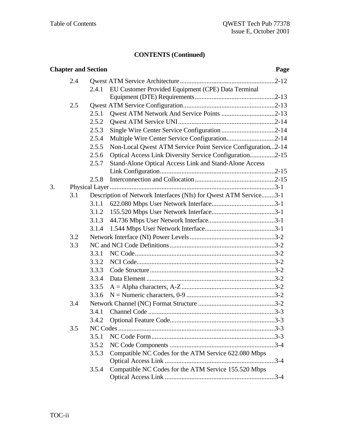| <b>Chapter and Section</b> |     |       | Page                                                             |          |
|----------------------------|-----|-------|------------------------------------------------------------------|----------|
|                            | 2.4 |       |                                                                  |          |
|                            |     | 2.4.1 | EU Customer Provided Equipment (CPE) Data Terminal               |          |
|                            |     |       |                                                                  |          |
|                            | 2.5 |       |                                                                  |          |
|                            |     | 2.5.1 |                                                                  |          |
|                            |     | 2.5.2 |                                                                  |          |
|                            |     | 2.5.3 |                                                                  |          |
|                            |     | 2.5.4 | Multiple Wire Center Service Configuration2-14                   |          |
|                            |     | 2.5.5 | Non-Local Qwest ATM Service Point Service Configuration2-14      |          |
|                            |     | 2.5.6 | Optical Access Link Diversity Service Configuration2-15          |          |
|                            |     | 2.5.7 | Stand-Alone Optical Access Link and Stand-Alone Access           |          |
|                            |     |       |                                                                  |          |
|                            |     | 2.5.8 |                                                                  |          |
| 3.                         |     |       |                                                                  |          |
|                            | 3.1 |       | Description of Network Interfaces (NIs) for Qwest ATM Service3-1 |          |
|                            |     | 3.1.1 |                                                                  |          |
|                            |     | 3.1.2 |                                                                  |          |
|                            |     | 3.1.3 |                                                                  |          |
|                            |     | 3.1.4 |                                                                  |          |
|                            | 3.2 |       |                                                                  |          |
|                            | 3.3 |       |                                                                  |          |
|                            |     | 3.3.1 |                                                                  |          |
|                            |     | 3.3.2 |                                                                  |          |
|                            |     | 3.3.3 |                                                                  |          |
|                            |     | 3.3.4 |                                                                  |          |
|                            |     | 3.3.5 |                                                                  |          |
|                            |     | 3.3.6 |                                                                  |          |
|                            | 3.4 |       |                                                                  |          |
|                            |     | 3.4.1 |                                                                  |          |
|                            |     | 3.4.2 |                                                                  |          |
|                            | 3.5 |       |                                                                  |          |
|                            |     | 3.5.1 |                                                                  |          |
|                            |     | 3.5.2 |                                                                  |          |
|                            |     | 3.5.3 | Compatible NC Codes for the ATM Service 622.080 Mbps             |          |
|                            |     |       |                                                                  | $.3 - 4$ |
|                            |     | 3.5.4 | Compatible NC Codes for the ATM Service 155.520 Mbps             |          |
|                            |     |       |                                                                  |          |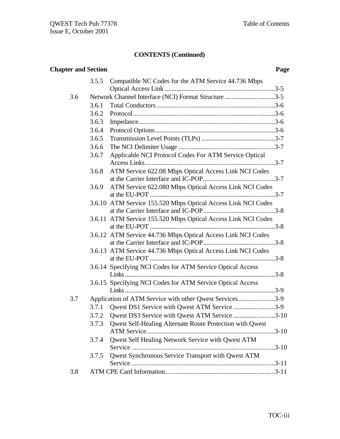|     | <b>Chapter and Section</b><br>Page |                                                                 |  |
|-----|------------------------------------|-----------------------------------------------------------------|--|
|     | 3.5.5                              | Compatible NC Codes for the ATM Service 44.736 Mbps             |  |
|     |                                    |                                                                 |  |
| 3.6 |                                    | Network Channel Interface (NCI) Format Structure 3-5            |  |
|     | 3.6.1                              |                                                                 |  |
|     | 3.6.2                              |                                                                 |  |
|     | 3.6.3                              |                                                                 |  |
|     | 3.6.4                              |                                                                 |  |
|     | 3.6.5                              |                                                                 |  |
|     | 3.6.6                              |                                                                 |  |
|     | 3.6.7                              | Applicable NCI Protocol Codes For ATM Service Optical           |  |
|     |                                    |                                                                 |  |
|     | 3.6.8                              | ATM Service 622.08 Mbps Optical Access Link NCI Codes           |  |
|     |                                    |                                                                 |  |
|     | 3.6.9                              | ATM Service 622.080 Mbps Optical Access Link NCI Codes          |  |
|     |                                    | 3.6.10 ATM Service 155.520 Mbps Optical Access Link NCI Codes   |  |
|     |                                    |                                                                 |  |
|     |                                    | 3.6.11 ATM Service 155.520 Mbps Optical Access Link NCI Codes   |  |
|     |                                    |                                                                 |  |
|     |                                    | 3.6.12 ATM Service 44.736 Mbps Optical Access Link NCI Codes    |  |
|     |                                    | 3.6.13 ATM Service 44.736 Mbps Optical Access Link NCI Codes    |  |
|     |                                    |                                                                 |  |
|     |                                    | 3.6.14 Specifying NCI Codes for ATM Service Optical Access      |  |
|     |                                    |                                                                 |  |
|     |                                    | 3.6.15 Specifying NCI Codes for ATM Service Optical Access      |  |
|     |                                    |                                                                 |  |
| 3.7 |                                    | Application of ATM Service with other Qwest Services3-9         |  |
|     | 3.7.1                              | Qwest DS1 Service with Qwest ATM Service 3-9                    |  |
|     | 3.7.2                              | Qwest DS3 Service with Qwest ATM Service 3-10                   |  |
|     | 3.7.3                              | <b>Qwest Self-Healing Alternate Route Protection with Qwest</b> |  |
|     | 3.7.4                              | Qwest Self Healing Network Service with Qwest ATM               |  |
|     |                                    |                                                                 |  |
|     | 3.7.5                              | Qwest Synchronous Service Transport with Qwest ATM              |  |
| 3.8 |                                    |                                                                 |  |
|     |                                    |                                                                 |  |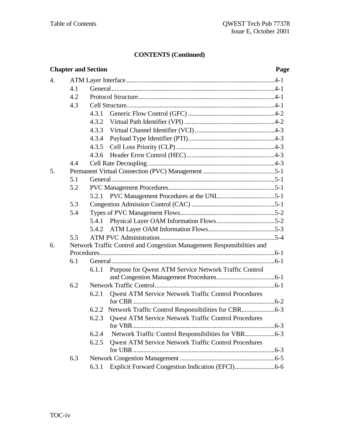|                  | <b>Chapter and Section</b><br>Page |                                                                          |  |
|------------------|------------------------------------|--------------------------------------------------------------------------|--|
| $\overline{4}$ . |                                    |                                                                          |  |
|                  | 4.1                                |                                                                          |  |
|                  | 4.2                                |                                                                          |  |
|                  | 4.3                                |                                                                          |  |
|                  |                                    | 4.3.1                                                                    |  |
|                  |                                    | 4.3.2                                                                    |  |
|                  |                                    | 4.3.3                                                                    |  |
|                  |                                    | 4.3.4                                                                    |  |
|                  |                                    | 4.3.5                                                                    |  |
|                  |                                    | 4.3.6                                                                    |  |
|                  | 4.4                                |                                                                          |  |
| 5.               |                                    |                                                                          |  |
|                  | 5.1                                |                                                                          |  |
|                  | 5.2                                |                                                                          |  |
|                  |                                    |                                                                          |  |
|                  | 5.3                                |                                                                          |  |
|                  | 5.4                                |                                                                          |  |
|                  |                                    | 5.4.1                                                                    |  |
|                  |                                    | 5.4.2                                                                    |  |
|                  | 5.5                                |                                                                          |  |
| 6.               |                                    | Network Traffic Control and Congestion Management Responsibilities and   |  |
|                  |                                    |                                                                          |  |
|                  | 6.1                                |                                                                          |  |
|                  |                                    | Purpose for Qwest ATM Service Network Traffic Control<br>6.1.1           |  |
|                  |                                    |                                                                          |  |
|                  | 6.2                                |                                                                          |  |
|                  |                                    | <b>Qwest ATM Service Network Traffic Control Procedures</b><br>6.2.1     |  |
|                  |                                    |                                                                          |  |
|                  |                                    | 6.2.2 Network Traffic Control Responsibilities for CBR6-3                |  |
|                  |                                    | 6.2.3<br>Qwest ATM Service Network Traffic Control Procedures<br>for VBR |  |
|                  |                                    | 6.2.4                                                                    |  |
|                  |                                    | <b>Qwest ATM Service Network Traffic Control Procedures</b><br>6.2.5     |  |
|                  |                                    |                                                                          |  |
|                  | 6.3                                |                                                                          |  |
|                  |                                    | 6.3.1                                                                    |  |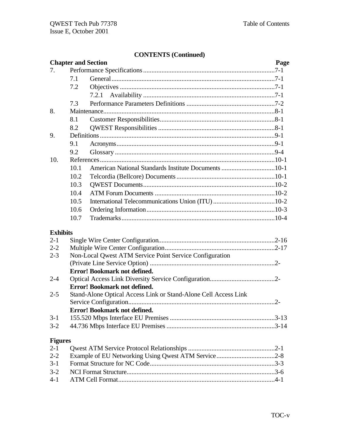|                 | <b>Chapter and Section</b>          |                                                                 | Page |  |
|-----------------|-------------------------------------|-----------------------------------------------------------------|------|--|
| 7.              |                                     |                                                                 |      |  |
|                 | 7.1                                 |                                                                 |      |  |
|                 | 7.2                                 |                                                                 |      |  |
|                 |                                     |                                                                 |      |  |
|                 | 7.3                                 |                                                                 |      |  |
| 8.              |                                     |                                                                 |      |  |
|                 | 8.1                                 |                                                                 |      |  |
|                 | 8.2                                 |                                                                 |      |  |
| 9.              |                                     |                                                                 |      |  |
|                 | 9.1                                 |                                                                 |      |  |
|                 | 9.2                                 |                                                                 |      |  |
| 10.             |                                     |                                                                 |      |  |
|                 | 10.1                                | American National Standards Institute Documents 10-1            |      |  |
|                 | 10.2                                |                                                                 |      |  |
|                 | 10.3                                |                                                                 |      |  |
|                 | 10.4                                |                                                                 |      |  |
|                 | 10.5                                |                                                                 |      |  |
|                 | 10.6                                |                                                                 |      |  |
|                 | 10.7                                |                                                                 |      |  |
| <b>Exhibits</b> |                                     |                                                                 |      |  |
| $2 - 1$         |                                     |                                                                 |      |  |
| $2 - 2$         |                                     |                                                                 |      |  |
| $2 - 3$         |                                     | Non-Local Qwest ATM Service Point Service Configuration         |      |  |
|                 |                                     |                                                                 |      |  |
|                 | <b>Error! Bookmark not defined.</b> |                                                                 |      |  |
| $2 - 4$         |                                     |                                                                 |      |  |
|                 | <b>Error! Bookmark not defined.</b> |                                                                 |      |  |
| $2 - 5$         |                                     | Stand-Alone Optical Access Link or Stand-Alone Cell Access Link |      |  |
|                 |                                     |                                                                 |      |  |
|                 |                                     | <b>Error! Bookmark not defined.</b>                             |      |  |
| $3-1$           |                                     |                                                                 |      |  |
| $3 - 2$         |                                     |                                                                 |      |  |
| <b>Figures</b>  |                                     |                                                                 |      |  |
| $2 - 1$         |                                     |                                                                 |      |  |
| $2 - 2$         |                                     |                                                                 |      |  |
| $3-1$           |                                     |                                                                 |      |  |
| $3 - 2$         |                                     |                                                                 |      |  |
| $4 - 1$         |                                     |                                                                 |      |  |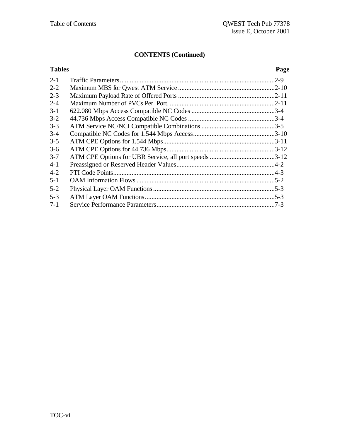| <b>Tables</b> | Page     |
|---------------|----------|
| $2 - 1$       | $.2 - 9$ |
| $2 - 2$       |          |
| $2 - 3$       |          |
| $2 - 4$       |          |
| $3-1$         |          |
| $3 - 2$       |          |
| $3 - 3$       |          |
| $3 - 4$       |          |
| $3 - 5$       |          |
| $3 - 6$       |          |
| $3 - 7$       |          |
| $4 - 1$       |          |
| $4 - 2$       |          |
| $5 - 1$       |          |
| $5 - 2$       |          |
| $5-3$         |          |
| $7 - 1$       |          |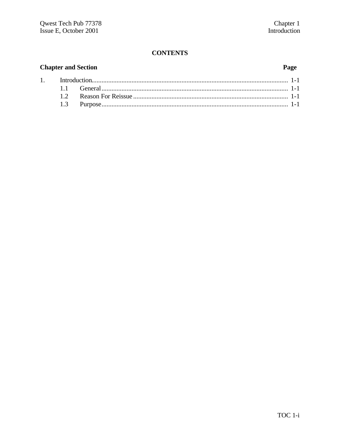# **CONTENTS**

# **Chapter and Section**

 $1.$ 

### Page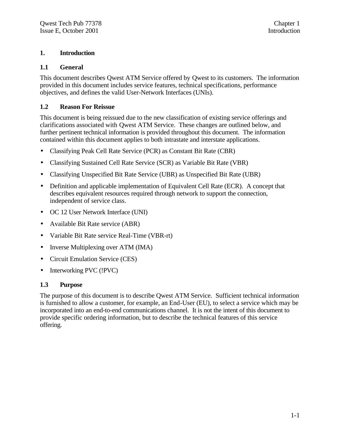#### **1. Introduction**

#### **1.1 General**

This document describes Qwest ATM Service offered by Qwest to its customers. The information provided in this document includes service features, technical specifications, performance objectives, and defines the valid User-Network Interfaces (UNIs).

#### **1.2 Reason For Reissue**

This document is being reissued due to the new classification of existing service offerings and clarifications associated with Qwest ATM Service. These changes are outlined below, and further pertinent technical information is provided throughout this document. The information contained within this document applies to both intrastate and interstate applications.

- Classifying Peak Cell Rate Service (PCR) as Constant Bit Rate (CBR)
- Classifying Sustained Cell Rate Service (SCR) as Variable Bit Rate (VBR)
- Classifying Unspecified Bit Rate Service (UBR) as Unspecified Bit Rate (UBR)
- Definition and applicable implementation of Equivalent Cell Rate (ECR). A concept that describes equivalent resources required through network to support the connection, independent of service class.
- OC 12 User Network Interface (UNI)
- Available Bit Rate service (ABR)
- Variable Bit Rate service Real-Time (VBR-rt)
- Inverse Multiplexing over ATM (IMA)
- Circuit Emulation Service (CES)
- Interworking PVC (!PVC)

#### **1.3 Purpose**

The purpose of this document is to describe Qwest ATM Service. Sufficient technical information is furnished to allow a customer, for example, an End-User (EU), to select a service which may be incorporated into an end-to-end communications channel. It is not the intent of this document to provide specific ordering information, but to describe the technical features of this service offering.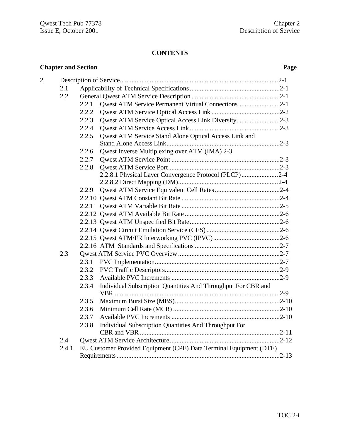# **CONTENTS**

|    | <b>Chapter and Section</b> |       |                                                                    | Page      |
|----|----------------------------|-------|--------------------------------------------------------------------|-----------|
| 2. |                            |       |                                                                    |           |
|    | 2.1                        |       |                                                                    |           |
|    | 2.2                        |       |                                                                    |           |
|    |                            | 2.2.1 | Qwest ATM Service Permanent Virtual Connections2-1                 |           |
|    |                            | 2.2.2 |                                                                    |           |
|    |                            | 2.2.3 | Qwest ATM Service Optical Access Link Diversity2-3                 |           |
|    |                            | 2.2.4 |                                                                    |           |
|    |                            | 2.2.5 | Qwest ATM Service Stand Alone Optical Access Link and              |           |
|    |                            |       |                                                                    |           |
|    |                            | 2.2.6 | Qwest Inverse Multiplexing over ATM (IMA) 2-3                      |           |
|    |                            | 2.2.7 |                                                                    |           |
|    |                            | 2.2.8 |                                                                    |           |
|    |                            |       | 2.2.8.1 Physical Layer Convergence Protocol (PLCP)2-4              |           |
|    |                            |       |                                                                    |           |
|    |                            | 2.2.9 |                                                                    |           |
|    |                            |       |                                                                    |           |
|    |                            |       |                                                                    |           |
|    |                            |       |                                                                    |           |
|    |                            |       |                                                                    |           |
|    |                            |       |                                                                    |           |
|    |                            |       |                                                                    |           |
|    |                            |       |                                                                    |           |
|    | 2.3                        |       |                                                                    |           |
|    |                            |       |                                                                    |           |
|    |                            | 2.3.2 |                                                                    |           |
|    |                            | 2.3.3 |                                                                    |           |
|    |                            | 2.3.4 | Individual Subscription Quantities And Throughput For CBR and      |           |
|    |                            | 2.3.5 |                                                                    |           |
|    |                            | 2.3.6 |                                                                    | $.2 - 10$ |
|    |                            | 2.3.7 |                                                                    |           |
|    |                            | 2.3.8 | Individual Subscription Quantities And Throughput For              |           |
|    |                            |       |                                                                    |           |
|    | 2.4                        |       |                                                                    |           |
|    | 2.4.1                      |       | EU Customer Provided Equipment (CPE) Data Terminal Equipment (DTE) |           |
|    |                            |       |                                                                    | $.2 - 13$ |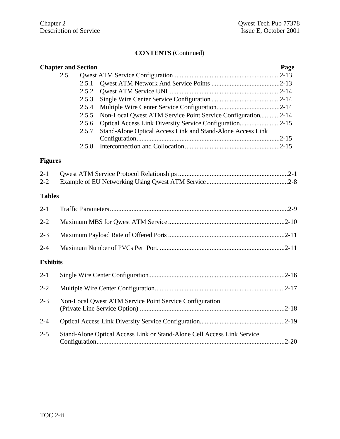|                 | <b>Chapter and Section</b>                                              |                                                             | Page |
|-----------------|-------------------------------------------------------------------------|-------------------------------------------------------------|------|
|                 | 2.5                                                                     |                                                             |      |
|                 | 2.5.1                                                                   |                                                             |      |
|                 | 2.5.2                                                                   |                                                             |      |
|                 | 2.5.3                                                                   |                                                             |      |
|                 | 2.5.4                                                                   |                                                             |      |
|                 | 2.5.5                                                                   | Non-Local Qwest ATM Service Point Service Configuration2-14 |      |
|                 | 2.5.6                                                                   | Optical Access Link Diversity Service Configuration2-15     |      |
|                 | 2.5.7                                                                   | Stand-Alone Optical Access Link and Stand-Alone Access Link |      |
|                 |                                                                         |                                                             |      |
|                 | 2.5.8                                                                   |                                                             |      |
| <b>Figures</b>  |                                                                         |                                                             |      |
| $2 - 1$         |                                                                         |                                                             |      |
| $2 - 2$         |                                                                         |                                                             |      |
| <b>Tables</b>   |                                                                         |                                                             |      |
| $2 - 1$         |                                                                         |                                                             |      |
| $2 - 2$         |                                                                         |                                                             |      |
| $2 - 3$         |                                                                         |                                                             |      |
| $2 - 4$         |                                                                         |                                                             |      |
| <b>Exhibits</b> |                                                                         |                                                             |      |
| $2 - 1$         |                                                                         |                                                             |      |
| $2 - 2$         |                                                                         |                                                             |      |
| $2 - 3$         |                                                                         | Non-Local Qwest ATM Service Point Service Configuration     |      |
| $2 - 4$         |                                                                         |                                                             |      |
| $2 - 5$         | Stand-Alone Optical Access Link or Stand-Alone Cell Access Link Service |                                                             |      |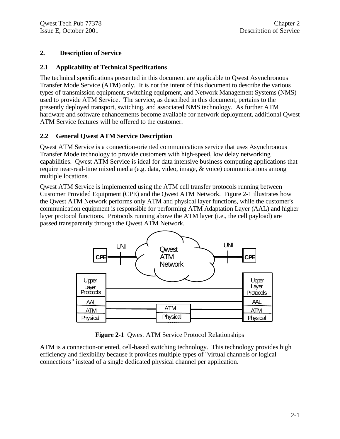#### **2. Description of Service**

#### **2.1 Applicability of Technical Specifications**

The technical specifications presented in this document are applicable to Qwest Asynchronous Transfer Mode Service (ATM) only. It is not the intent of this document to describe the various types of transmission equipment, switching equipment, and Network Management Systems (NMS) used to provide ATM Service. The service, as described in this document, pertains to the presently deployed transport, switching, and associated NMS technology. As further ATM hardware and software enhancements become available for network deployment, additional Qwest ATM Service features will be offered to the customer.

#### **2.2 General Qwest ATM Service Description**

Qwest ATM Service is a connection-oriented communications service that uses Asynchronous Transfer Mode technology to provide customers with high-speed, low delay networking capabilities. Qwest ATM Service is ideal for data intensive business computing applications that require near-real-time mixed media (e.g. data, video, image, & voice) communications among multiple locations.

Qwest ATM Service is implemented using the ATM cell transfer protocols running between Customer Provided Equipment (CPE) and the Qwest ATM Network. Figure 2-1 illustrates how the Qwest ATM Network performs only ATM and physical layer functions, while the customer's communication equipment is responsible for performing ATM Adaptation Layer (AAL) and higher layer protocol functions. Protocols running above the ATM layer (i.e., the cell payload) are passed transparently through the Qwest ATM Network.



**Figure 2-1** Qwest ATM Service Protocol Relationships

ATM is a connection-oriented, cell-based switching technology. This technology provides high efficiency and flexibility because it provides multiple types of "virtual channels or logical connections" instead of a single dedicated physical channel per application.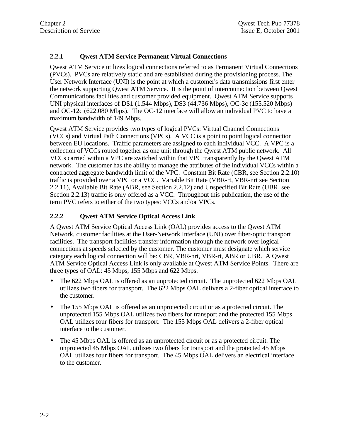#### **2.2.1 Qwest ATM Service Permanent Virtual Connections**

Qwest ATM Service utilizes logical connections referred to as Permanent Virtual Connections (PVCs). PVCs are relatively static and are established during the provisioning process. The User Network Interface (UNI) is the point at which a customer's data transmissions first enter the network supporting Qwest ATM Service. It is the point of interconnection between Qwest Communications facilities and customer provided equipment. Qwest ATM Service supports UNI physical interfaces of DS1 (1.544 Mbps), DS3 (44.736 Mbps), OC-3c (155.520 Mbps) and OC-12c (622.080 Mbps). The OC-12 interface will allow an individual PVC to have a maximum bandwidth of 149 Mbps.

Qwest ATM Service provides two types of logical PVCs: Virtual Channel Connections (VCCs) and Virtual Path Connections (VPCs). A VCC is a point to point logical connection between EU locations. Traffic parameters are assigned to each individual VCC. A VPC is a collection of VCCs routed together as one unit through the Qwest ATM public network. All VCCs carried within a VPC are switched within that VPC transparently by the Qwest ATM network. The customer has the ability to manage the attributes of the individual VCCs within a contracted aggregate bandwidth limit of the VPC. Constant Bit Rate (CBR, see Section 2.2.10) traffic is provided over a VPC or a VCC. Variable Bit Rate (VBR-rt, VBR-nrt see Section 2.2.11), Available Bit Rate (ABR, see Section 2.2.12) and Unspecified Bit Rate (UBR, see Section 2.2.13) traffic is only offered as a VCC. Throughout this publication, the use of the term PVC refers to either of the two types: VCCs and/or VPCs.

#### **2.2.2 Qwest ATM Service Optical Access Link**

A Qwest ATM Service Optical Access Link (OAL) provides access to the Qwest ATM Network, customer facilities at the User-Network Interface (UNI) over fiber-optic transport facilities. The transport facilities transfer information through the network over logical connections at speeds selected by the customer. The customer must designate which service category each logical connection will be: CBR, VBR-nrt, VBR-rt, ABR or UBR. A Qwest ATM Service Optical Access Link is only available at Qwest ATM Service Points. There are three types of OAL: 45 Mbps, 155 Mbps and 622 Mbps.

- The 622 Mbps OAL is offered as an unprotected circuit. The unprotected 622 Mbps OAL utilizes two fibers for transport. The 622 Mbps OAL delivers a 2-fiber optical interface to the customer.
- The 155 Mbps OAL is offered as an unprotected circuit or as a protected circuit. The unprotected 155 Mbps OAL utilizes two fibers for transport and the protected 155 Mbps OAL utilizes four fibers for transport. The 155 Mbps OAL delivers a 2-fiber optical interface to the customer.
- The 45 Mbps OAL is offered as an unprotected circuit or as a protected circuit. The unprotected 45 Mbps OAL utilizes two fibers for transport and the protected 45 Mbps OAL utilizes four fibers for transport. The 45 Mbps OAL delivers an electrical interface to the customer.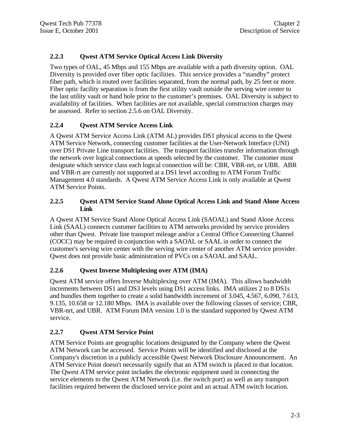### **2.2.3 Qwest ATM Service Optical Access Link Diversity**

Two types of OAL, 45 Mbps and 155 Mbps are available with a path diversity option. OAL Diversity is provided over fiber optic facilities. This service provides a "standby" protect fiber path, which is routed over facilities separated, from the normal path, by 25 feet or more. Fiber optic facility separation is from the first utility vault outside the serving wire center to the last utility vault or hand hole prior to the customer's premises. OAL Diversity is subject to availability of facilities. When facilities are not available, special construction charges may be assessed. Refer to section 2.5.6 on OAL Diversity.

### **2.2.4 Qwest ATM Service Access Link**

A Qwest ATM Service Access Link (ATM AL) provides DS1 physical access to the Qwest ATM Service Network, connecting customer facilities at the User-Network Interface (UNI) over DS1 Private Line transport facilities. The transport facilities transfer information through the network over logical connections at speeds selected by the customer. The customer must designate which service class each logical connection will be: CBR, VBR-nrt, or UBR. ABR and VBR-rt are currently not supported at a DS1 level according to ATM Forum Traffic Management 4.0 standards. A Qwest ATM Service Access Link is only available at Qwest ATM Service Points.

#### **2.2.5 Qwest ATM Service Stand Alone Optical Access Link and Stand Alone Access Link**

A Qwest ATM Service Stand Alone Optical Access Link (SAOAL) and Stand Alone Access Link (SAAL) connects customer facilities to ATM networks provided by service providers other than Qwest. Private line transport mileage and/or a Central Office Connecting Channel (COCC) may be required in conjunction with a SAOAL or SAAL in order to connect the customer's serving wire center with the serving wire center of another ATM service provider. Qwest does not provide basic administration of PVCs on a SAOAL and SAAL.

### **2.2.6 Qwest Inverse Multiplexing over ATM (IMA)**

Qwest ATM service offers Inverse Multiplexing over ATM (IMA). This allows bandwidth increments between DS1 and DS3 levels using DS1 access links. IMA utilizes 2 to 8 DS1s and bundles them together to create a solid bandwidth increment of 3.045, 4.567, 6.090, 7.613, 9.135, 10.658 or 12.180 Mbps. IMA is available over the following classes of service; CBR, VBR-nrt, and UBR. ATM Forum IMA version 1.0 is the standard supported by Qwest ATM service.

### **2.2.7 Qwest ATM Service Point**

ATM Service Points are geographic locations designated by the Company where the Qwest ATM Network can be accessed. Service Points will be identified and disclosed at the Company's discretion in a publicly accessible Qwest Network Disclosure Announcement. An ATM Service Point doesn't necessarily signify that an ATM switch is placed in that location. The Qwest ATM service point includes the electronic equipment used in connecting the service elements to the Qwest ATM Network (i.e. the switch port) as well as any transport facilities required between the disclosed service point and an actual ATM switch location.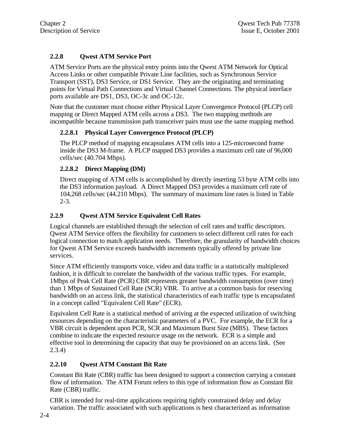# **2.2.8 Qwest ATM Service Port**

ATM Service Ports are the physical entry points into the Qwest ATM Network for Optical Access Links or other compatible Private Line facilities, such as Synchronous Service Transport (SST), DS3 Service, or DS1 Service. They are the originating and terminating points for Virtual Path Connections and Virtual Channel Connections. The physical interface ports available are DS1, DS3, OC-3c and OC-12c.

Note that the customer must choose either Physical Layer Convergence Protocol (PLCP) cell mapping or Direct Mapped ATM cells across a DS3. The two mapping methods are incompatible because transmission path transceiver pairs must use the same mapping method.

#### **2.2.8.1 Physical Layer Convergence Protocol (PLCP)**

The PLCP method of mapping encapsulates ATM cells into a 125-microsecond frame inside the DS3 M-frame. A PLCP mapped DS3 provides a maximum cell rate of 96,000 cells/sec (40.704 Mbps).

#### **2.2.8.2 Direct Mapping (DM)**

Direct mapping of ATM cells is accomplished by directly inserting 53 byte ATM cells into the DS3 information payload. A Direct Mapped DS3 provides a maximum cell rate of 104,268 cells/sec (44.210 Mbps). The summary of maximum line rates is listed in Table 2-3.

#### **2.2.9 Qwest ATM Service Equivalent Cell Rates**

Logical channels are established through the selection of cell rates and traffic descriptors. Qwest ATM Service offers the flexibility for customers to select different cell rates for each logical connection to match application needs. Therefore, the granularity of bandwidth choices for Qwest ATM Service exceeds bandwidth increments typically offered by private line services.

Since ATM efficiently transports voice, video and data traffic in a statistically multiplexed fashion, it is difficult to correlate the bandwidth of the various traffic types. For example, 1Mbps of Peak Cell Rate (PCR) CBR represents greater bandwidth consumption (over time) than 1 Mbps of Sustained Cell Rate (SCR) VBR. To arrive at a common basis for reserving bandwidth on an access link, the statistical characteristics of each traffic type is encapsulated in a concept called "Equivalent Cell Rate" (ECR).

Equivalent Cell Rate is a statistical method of arriving at the expected utilization of switching resources depending on the characteristic parameters of a PVC. For example, the ECR for a VBR circuit is dependent upon PCR, SCR and Maximum Burst Size (MBS). These factors combine to indicate the expected resource usage on the network. ECR is a simple and effective tool in determining the capacity that may be provisioned on an access link. (See 2.3.4)

### **2.2.10 Qwest ATM Constant Bit Rate**

Constant Bit Rate (CBR) traffic has been designed to support a connection carrying a constant flow of information. The ATM Forum refers to this type of information flow as Constant Bit Rate (CBR) traffic.

CBR is intended for real-time applications requiring tightly constrained delay and delay variation. The traffic associated with such applications is best characterized as information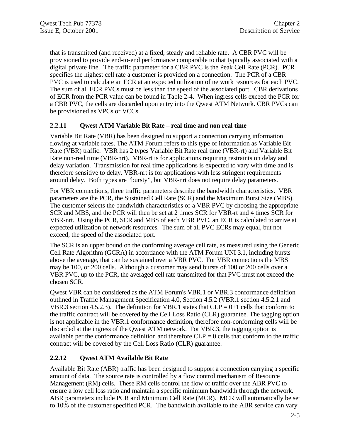that is transmitted (and received) at a fixed, steady and reliable rate. A CBR PVC will be provisioned to provide end-to-end performance comparable to that typically associated with a digital private line. The traffic parameter for a CBR PVC is the Peak Cell Rate (PCR). PCR specifies the highest cell rate a customer is provided on a connection. The PCR of a CBR PVC is used to calculate an ECR at an expected utilization of network resources for each PVC. The sum of all ECR PVCs must be less than the speed of the associated port. CBR derivations of ECR from the PCR value can be found in Table 2-4. When ingress cells exceed the PCR for a CBR PVC, the cells are discarded upon entry into the Qwest ATM Network. CBR PVCs can be provisioned as VPCs or VCCs.

#### **2.2.11 Qwest ATM Variable Bit Rate – real time and non real time**

Variable Bit Rate (VBR) has been designed to support a connection carrying information flowing at variable rates. The ATM Forum refers to this type of information as Variable Bit Rate (VBR) traffic. VBR has 2 types Variable Bit Rate real time (VBR-rt) and Variable Bit Rate non-real time (VBR-nrt). VBR-rt is for applications requiring restraints on delay and delay variation. Transmission for real time applications is expected to vary with time and is therefore sensitive to delay. VBR-nrt is for applications with less stringent requirements around delay. Both types are "bursty", but VBR-nrt does not require delay parameters.

For VBR connections, three traffic parameters describe the bandwidth characteristics. VBR parameters are the PCR, the Sustained Cell Rate (SCR) and the Maximum Burst Size (MBS). The customer selects the bandwidth characteristics of a VBR PVC by choosing the appropriate SCR and MBS, and the PCR will then be set at 2 times SCR for VBR-rt and 4 times SCR for VBR-nrt. Using the PCR, SCR and MBS of each VBR PVC, an ECR is calculated to arrive at expected utilization of network resources. The sum of all PVC ECRs may equal, but not exceed, the speed of the associated port.

The SCR is an upper bound on the conforming average cell rate, as measured using the Generic Cell Rate Algorithm (GCRA) in accordance with the ATM Forum UNI 3.1, including bursts above the average, that can be sustained over a VBR PVC. For VBR connections the MBS may be 100, or 200 cells. Although a customer may send bursts of 100 or 200 cells over a VBR PVC, up to the PCR, the averaged cell rate transmitted for that PVC must not exceed the chosen SCR.

Qwest VBR can be considered as the ATM Forum's VBR.1 or VBR.3 conformance definition outlined in Traffic Management Specification 4.0, Section 4.5.2 (VBR.1 section 4.5.2.1 and VBR.3 section 4.5.2.3). The definition for VBR.1 states that  $CLP = 0+1$  cells that conform to the traffic contract will be covered by the Cell Loss Ratio (CLR) guarantee. The tagging option is not applicable in the VBR.1 conformance definition, therefore non-conforming cells will be discarded at the ingress of the Qwest ATM network. For VBR.3, the tagging option is available per the conformance definition and therefore  $CLP = 0$  cells that conform to the traffic contract will be covered by the Cell Loss Ratio (CLR) guarantee.

#### **2.2.12 Qwest ATM Available Bit Rate**

Available Bit Rate (ABR) traffic has been designed to support a connection carrying a specific amount of data. The source rate is controlled by a flow control mechanism of Resource Management (RM) cells. These RM cells control the flow of traffic over the ABR PVC to ensure a low cell loss ratio and maintain a specific minimum bandwidth through the network. ABR parameters include PCR and Minimum Cell Rate (MCR). MCR will automatically be set to 10% of the customer specified PCR. The bandwidth available to the ABR service can vary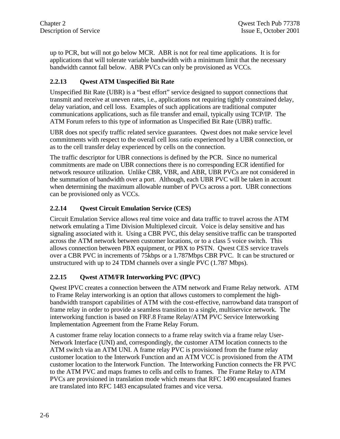up to PCR, but will not go below MCR. ABR is not for real time applications. It is for applications that will tolerate variable bandwidth with a minimum limit that the necessary bandwidth cannot fall below. ABR PVCs can only be provisioned as VCCs.

### **2.2.13 Qwest ATM Unspecified Bit Rate**

Unspecified Bit Rate (UBR) is a "best effort" service designed to support connections that transmit and receive at uneven rates, i.e., applications not requiring tightly constrained delay, delay variation, and cell loss. Examples of such applications are traditional computer communications applications, such as file transfer and email, typically using TCP/IP. The ATM Forum refers to this type of information as Unspecified Bit Rate (UBR) traffic.

UBR does not specify traffic related service guarantees. Qwest does not make service level commitments with respect to the overall cell loss ratio experienced by a UBR connection, or as to the cell transfer delay experienced by cells on the connection.

The traffic descriptor for UBR connections is defined by the PCR. Since no numerical commitments are made on UBR connections there is no corresponding ECR identified for network resource utilization. Unlike CBR, VBR, and ABR, UBR PVCs are not considered in the summation of bandwidth over a port. Although, each UBR PVC will be taken in account when determining the maximum allowable number of PVCs across a port. UBR connections can be provisioned only as VCCs.

#### **2.2.14 Qwest Circuit Emulation Service (CES)**

Circuit Emulation Service allows real time voice and data traffic to travel across the ATM network emulating a Time Division Multiplexed circuit. Voice is delay sensitive and has signaling associated with it. Using a CBR PVC, this delay sensitive traffic can be transported across the ATM network between customer locations, or to a class 5 voice switch. This allows connection between PBX equipment, or PBX to PSTN. Qwest CES service travels over a CBR PVC in increments of 75kbps or a 1.787Mbps CBR PVC. It can be structured or unstructured with up to 24 TDM channels over a single PVC (1.787 Mbps).

### **2.2.15 Qwest ATM/FR Interworking PVC (IPVC)**

Qwest IPVC creates a connection between the ATM network and Frame Relay network. ATM to Frame Relay interworking is an option that allows customers to complement the highbandwidth transport capabilities of ATM with the cost-effective, narrowband data transport of frame relay in order to provide a seamless transition to a single, multiservice network. The interworking function is based on FRF.8 Frame Relay/ATM PVC Service Interworking Implementation Agreement from the Frame Relay Forum.

A customer frame relay location connects to a frame relay switch via a frame relay User-Network Interface (UNI) and, correspondingly, the customer ATM location connects to the ATM switch via an ATM UNI. A frame relay PVC is provisioned from the frame relay customer location to the Interwork Function and an ATM VCC is provisioned from the ATM customer location to the Interwork Function. The Interworking Function connects the FR PVC to the ATM PVC and maps frames to cells and cells to frames. The Frame Relay to ATM PVCs are provisioned in translation mode which means that RFC 1490 encapsulated frames are translated into RFC 1483 encapsulated frames and vice versa.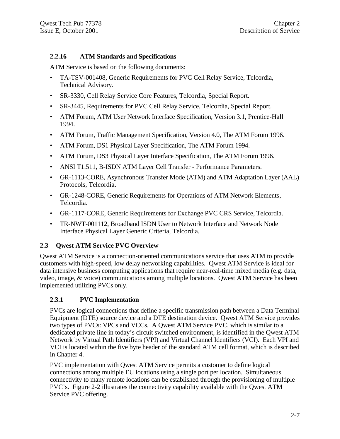#### **2.2.16 ATM Standards and Specifications**

ATM Service is based on the following documents:

- TA-TSV-001408, Generic Requirements for PVC Cell Relay Service, Telcordia, Technical Advisory.
- SR-3330, Cell Relay Service Core Features, Telcordia, Special Report.
- SR-3445, Requirements for PVC Cell Relay Service, Telcordia, Special Report.
- ATM Forum, ATM User Network Interface Specification, Version 3.1, Prentice-Hall 1994.
- ATM Forum, Traffic Management Specification, Version 4.0, The ATM Forum 1996.
- ATM Forum, DS1 Physical Layer Specification, The ATM Forum 1994.
- ATM Forum, DS3 Physical Layer Interface Specification, The ATM Forum 1996.
- ANSI T1.511, B-ISDN ATM Layer Cell Transfer Performance Parameters.
- GR-1113-CORE, Asynchronous Transfer Mode (ATM) and ATM Adaptation Layer (AAL) Protocols, Telcordia.
- GR-1248-CORE, Generic Requirements for Operations of ATM Network Elements, Telcordia.
- GR-1117-CORE, Generic Requirements for Exchange PVC CRS Service, Telcordia.
- TR-NWT-001112, Broadband ISDN User to Network Interface and Network Node Interface Physical Layer Generic Criteria, Telcordia.

### **2.3 Qwest ATM Service PVC Overview**

Qwest ATM Service is a connection-oriented communications service that uses ATM to provide customers with high-speed, low delay networking capabilities. Qwest ATM Service is ideal for data intensive business computing applications that require near-real-time mixed media (e.g. data, video, image, & voice) communications among multiple locations. Qwest ATM Service has been implemented utilizing PVCs only.

#### **2.3.1 PVC Implementation**

PVCs are logical connections that define a specific transmission path between a Data Terminal Equipment (DTE) source device and a DTE destination device. Qwest ATM Service provides two types of PVCs: VPCs and VCCs. A Qwest ATM Service PVC, which is similar to a dedicated private line in today's circuit switched environment, is identified in the Qwest ATM Network by Virtual Path Identifiers (VPI) and Virtual Channel Identifiers (VCI). Each VPI and VCI is located within the five byte header of the standard ATM cell format, which is described in Chapter 4.

PVC implementation with Qwest ATM Service permits a customer to define logical connections among multiple EU locations using a single port per location. Simultaneous connectivity to many remote locations can be established through the provisioning of multiple PVC's. Figure 2-2 illustrates the connectivity capability available with the Qwest ATM Service PVC offering.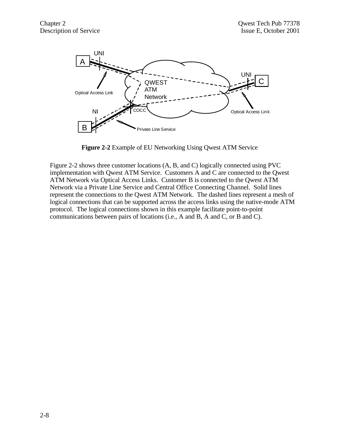

**Figure 2-2** Example of EU Networking Using Qwest ATM Service

Figure 2-2 shows three customer locations (A, B, and C) logically connected using PVC implementation with Qwest ATM Service. Customers A and C are connected to the Qwest ATM Network via Optical Access Links. Customer B is connected to the Qwest ATM Network via a Private Line Service and Central Office Connecting Channel. Solid lines represent the connections to the Qwest ATM Network. The dashed lines represent a mesh of logical connections that can be supported across the access links using the native-mode ATM protocol. The logical connections shown in this example facilitate point-to-point communications between pairs of locations (i.e., A and B, A and C, or B and C).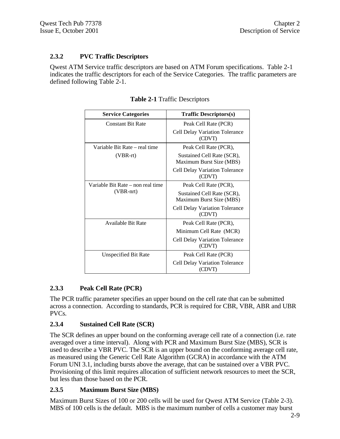#### **2.3.2 PVC Traffic Descriptors**

Qwest ATM Service traffic descriptors are based on ATM Forum specifications. Table 2-1 indicates the traffic descriptors for each of the Service Categories. The traffic parameters are defined following Table 2-1.

| <b>Service Categories</b>         | <b>Traffic Descriptors(s)</b>                          |
|-----------------------------------|--------------------------------------------------------|
| <b>Constant Bit Rate</b>          | Peak Cell Rate (PCR)                                   |
|                                   | <b>Cell Delay Variation Tolerance</b><br>(CDVT)        |
| Variable Bit Rate – real time     | Peak Cell Rate (PCR),                                  |
| (VBR-rt)                          | Sustained Cell Rate (SCR),<br>Maximum Burst Size (MBS) |
|                                   | Cell Delay Variation Tolerance<br>(CDVT)               |
| Variable Bit Rate – non real time | Peak Cell Rate (PCR),                                  |
| (VBR-nrt)                         | Sustained Cell Rate (SCR),<br>Maximum Burst Size (MBS) |
|                                   | <b>Cell Delay Variation Tolerance</b><br>(CDVT)        |
| <b>Available Bit Rate</b>         | Peak Cell Rate (PCR),                                  |
|                                   | Minimum Cell Rate (MCR)                                |
|                                   | <b>Cell Delay Variation Tolerance</b><br>(CDVT)        |
| Unspecified Bit Rate              | Peak Cell Rate (PCR)                                   |
|                                   | <b>Cell Delay Variation Tolerance</b><br>(CDVT)        |

**Table 2-1** Traffic Descriptors

#### **2.3.3 Peak Cell Rate (PCR)**

The PCR traffic parameter specifies an upper bound on the cell rate that can be submitted across a connection. According to standards, PCR is required for CBR, VBR, ABR and UBR PVCs.

#### **2.3.4 Sustained Cell Rate (SCR)**

The SCR defines an upper bound on the conforming average cell rate of a connection (i.e. rate averaged over a time interval). Along with PCR and Maximum Burst Size (MBS), SCR is used to describe a VBR PVC. The SCR is an upper bound on the conforming average cell rate, as measured using the Generic Cell Rate Algorithm (GCRA) in accordance with the ATM Forum UNI 3.1, including bursts above the average, that can be sustained over a VBR PVC. Provisioning of this limit requires allocation of sufficient network resources to meet the SCR, but less than those based on the PCR.

#### **2.3.5 Maximum Burst Size (MBS)**

Maximum Burst Sizes of 100 or 200 cells will be used for Qwest ATM Service (Table 2-3). MBS of 100 cells is the default. MBS is the maximum number of cells a customer may burst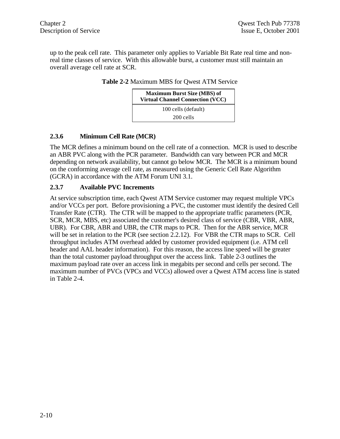up to the peak cell rate. This parameter only applies to Variable Bit Rate real time and nonreal time classes of service. With this allowable burst, a customer must still maintain an overall average cell rate at SCR.

| <b>Maximum Burst Size (MBS) of</b><br><b>Virtual Channel Connection (VCC)</b> |
|-------------------------------------------------------------------------------|
| 100 cells (default)                                                           |
| 200 cells                                                                     |

#### **Table 2-2** Maximum MBS for Qwest ATM Service

#### **2.3.6 Minimum Cell Rate (MCR)**

The MCR defines a minimum bound on the cell rate of a connection. MCR is used to describe an ABR PVC along with the PCR parameter. Bandwidth can vary between PCR and MCR depending on network availability, but cannot go below MCR. The MCR is a minimum bound on the conforming average cell rate, as measured using the Generic Cell Rate Algorithm (GCRA) in accordance with the ATM Forum UNI 3.1.

#### **2.3.7 Available PVC Increments**

At service subscription time, each Qwest ATM Service customer may request multiple VPCs and/or VCCs per port. Before provisioning a PVC, the customer must identify the desired Cell Transfer Rate (CTR). The CTR will be mapped to the appropriate traffic parameters (PCR, SCR, MCR, MBS, etc) associated the customer's desired class of service (CBR, VBR, ABR, UBR). For CBR, ABR and UBR, the CTR maps to PCR. Then for the ABR service, MCR will be set in relation to the PCR (see section 2.2.12). For VBR the CTR maps to SCR. Cell throughput includes ATM overhead added by customer provided equipment (i.e. ATM cell header and AAL header information). For this reason, the access line speed will be greater than the total customer payload throughput over the access link. Table 2-3 outlines the maximum payload rate over an access link in megabits per second and cells per second. The maximum number of PVCs (VPCs and VCCs) allowed over a Qwest ATM access line is stated in Table 2-4.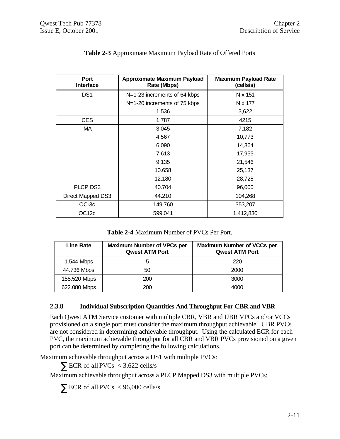| Port<br><b>Interface</b> | <b>Approximate Maximum Payload</b><br>Rate (Mbps) | <b>Maximum Payload Rate</b><br>(cells/s) |
|--------------------------|---------------------------------------------------|------------------------------------------|
| DS <sub>1</sub>          | N=1-23 increments of 64 kbps                      | N x 151                                  |
|                          | N=1-20 increments of 75 kbps                      | N x 177                                  |
|                          | 1.536                                             | 3,622                                    |
| <b>CES</b>               | 1.787                                             | 4215                                     |
| <b>IMA</b>               | 3.045                                             | 7,182                                    |
|                          | 4.567                                             | 10,773                                   |
|                          | 6.090                                             | 14,364                                   |
|                          | 7.613                                             | 17,955                                   |
|                          | 9.135                                             | 21,546                                   |
|                          | 10.658                                            | 25,137                                   |
|                          | 12.180                                            | 28,728                                   |
| PLCP DS3                 | 40.704                                            | 96,000                                   |
| Direct Mapped DS3        | 44.210                                            | 104,268                                  |
| $OC-3c$                  | 149.760                                           | 353,207                                  |
| OC <sub>12c</sub>        | 599.041                                           | 1,412,830                                |

### **Table 2-3** Approximate Maximum Payload Rate of Offered Ports

**Table 2-4** Maximum Number of PVCs Per Port.

| <b>Line Rate</b> | <b>Maximum Number of VPCs per</b><br><b>Qwest ATM Port</b> | <b>Maximum Number of VCCs per</b><br><b>Qwest ATM Port</b> |
|------------------|------------------------------------------------------------|------------------------------------------------------------|
| 1.544 Mbps       | 5                                                          | 220                                                        |
| 44.736 Mbps      | 50                                                         | 2000                                                       |
| 155.520 Mbps     | 200                                                        | 3000                                                       |
| 622.080 Mbps     | 200                                                        | 4000                                                       |

### **2.3.8 Individual Subscription Quantities And Throughput For CBR and VBR**

Each Qwest ATM Service customer with multiple CBR, VBR and UBR VPCs and/or VCCs provisioned on a single port must consider the maximum throughput achievable. UBR PVCs are not considered in determining achievable throughput. Using the calculated ECR for each PVC, the maximum achievable throughput for all CBR and VBR PVCs provisioned on a given port can be determined by completing the following calculations.

Maximum achievable throughput across a DS1 with multiple PVCs:

 $\sum$  ECR of all PVCs < 3,622 cells/s

Maximum achievable throughput across a PLCP Mapped DS3 with multiple PVCs:

 $\sum$  ECR of all PVCs < 96,000 cells/s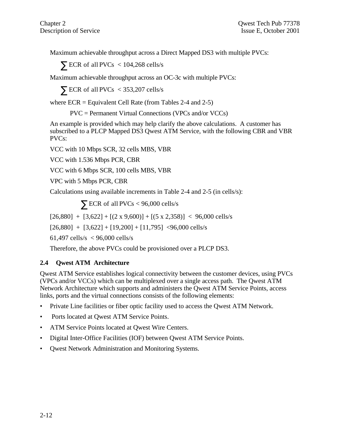Maximum achievable throughput across a Direct Mapped DS3 with multiple PVCs:

 $\sum$  ECR of all PVCs < 104,268 cells/s

Maximum achievable throughput across an OC-3c with multiple PVCs:

 $\sum$  ECR of all PVCs < 353,207 cells/s

where  $ECR =$  Equivalent Cell Rate (from Tables 2-4 and 2-5)

PVC = Permanent Virtual Connections (VPCs and/or VCCs)

An example is provided which may help clarify the above calculations. A customer has subscribed to a PLCP Mapped DS3 Qwest ATM Service, with the following CBR and VBR PVCs:

VCC with 10 Mbps SCR, 32 cells MBS, VBR

VCC with 1.536 Mbps PCR, CBR

VCC with 6 Mbps SCR, 100 cells MBS, VBR

VPC with 5 Mbps PCR, CBR

Calculations using available increments in Table 2-4 and 2-5 (in cells/s):

 $\sum$  ECR of all PVCs < 96,000 cells/s

 $[26,880]$  +  $[3,622]$  +  $[(2 \times 9,600)]$  +  $[(5 \times 2,358)]$  < 96,000 cells/s

 $[26,880]$  +  $[3,622]$  +  $[19,200]$  +  $[11,795]$  <96,000 cells/s

61,497 cells/s < 96,000 cells/s

Therefore, the above PVCs could be provisioned over a PLCP DS3.

#### **2.4 Qwest ATM Architecture**

Qwest ATM Service establishes logical connectivity between the customer devices, using PVCs (VPCs and/or VCCs) which can be multiplexed over a single access path. The Qwest ATM Network Architecture which supports and administers the Qwest ATM Service Points, access links, ports and the virtual connections consists of the following elements:

- Private Line facilities or fiber optic facility used to access the Qwest ATM Network.
- Ports located at Qwest ATM Service Points.
- ATM Service Points located at Owest Wire Centers.
- Digital Inter-Office Facilities (IOF) between Qwest ATM Service Points.
- Qwest Network Administration and Monitoring Systems.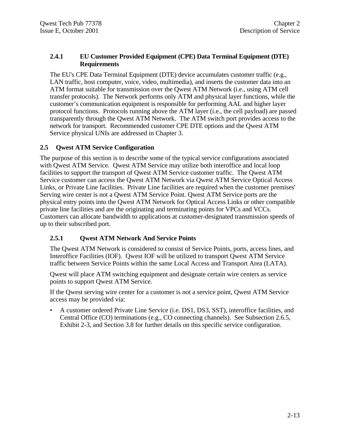#### **2.4.1 EU Customer Provided Equipment (CPE) Data Terminal Equipment (DTE) Requirements**

The EU's CPE Data Terminal Equipment (DTE) device accumulates customer traffic (e.g., LAN traffic, host computer, voice, video, multimedia), and inserts the customer data into an ATM format suitable for transmission over the Qwest ATM Network (i.e., using ATM cell transfer protocols). The Network performs only ATM and physical layer functions, while the customer's communication equipment is responsible for performing AAL and higher layer protocol functions. Protocols running above the ATM layer (i.e., the cell payload) are passed transparently through the Qwest ATM Network. The ATM switch port provides access to the network for transport. Recommended customer CPE DTE options and the Qwest ATM Service physical UNIs are addressed in Chapter 3.

#### **2.5 Qwest ATM Service Configuration**

The purpose of this section is to describe some of the typical service configurations associated with Qwest ATM Service. Qwest ATM Service may utilize both interoffice and local loop facilities to support the transport of Qwest ATM Service customer traffic. The Qwest ATM Service customer can access the Qwest ATM Network via Qwest ATM Service Optical Access Links, or Private Line facilities. Private Line facilities are required when the customer premises' Serving wire center is not a Qwest ATM Service Point. Qwest ATM Service ports are the physical entry points into the Qwest ATM Network for Optical Access Links or other compatible private line facilities and are the originating and terminating points for VPCs and VCCs. Customers can allocate bandwidth to applications at customer-designated transmission speeds of up to their subscribed port.

### **2.5.1 Qwest ATM Network And Service Points**

The Qwest ATM Network is considered to consist of Service Points, ports, access lines, and Interoffice Facilities (IOF). Qwest IOF will be utilized to transport Qwest ATM Service traffic between Service Points within the same Local Access and Transport Area (LATA).

Qwest will place ATM switching equipment and designate certain wire centers as service points to support Qwest ATM Service.

If the Qwest serving wire center for a customer is not a service point, Qwest ATM Service access may be provided via:

• A customer ordered Private Line Service (i.e. DS1, DS3, SST), interoffice facilities, and Central Office (CO) terminations (e.g., CO connecting channels). See Subsection 2.6.5, Exhibit 2-3, and Section 3.8 for further details on this specific service configuration.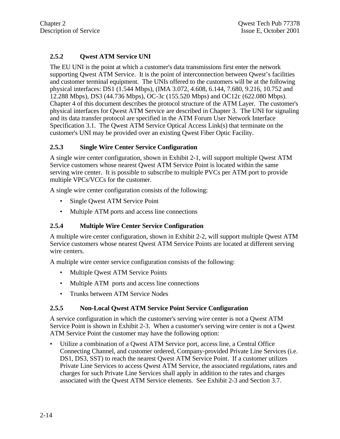# **2.5.2 Qwest ATM Service UNI**

The EU UNI is the point at which a customer's data transmissions first enter the network supporting Qwest ATM Service. It is the point of interconnection between Qwest's facilities and customer terminal equipment. The UNIs offered to the customers will be at the following physical interfaces: DS1 (1.544 Mbps), (IMA 3.072, 4.608, 6.144, 7.680, 9.216, 10.752 and 12.288 Mbps), DS3 (44.736 Mbps), OC-3c (155.520 Mbps) and OC12c (622.080 Mbps). Chapter 4 of this document describes the protocol structure of the ATM Layer. The customer's physical interfaces for Qwest ATM Service are described in Chapter 3. The UNI for signaling and its data transfer protocol are specified in the ATM Forum User Network Interface Specification 3.1. The Qwest ATM Service Optical Access Link(s) that terminate on the customer's UNI may be provided over an existing Qwest Fiber Optic Facility.

#### **2.5.3 Single Wire Center Service Configuration**

A single wire center configuration, shown in Exhibit 2-1, will support multiple Qwest ATM Service customers whose nearest Qwest ATM Service Point is located within the same serving wire center. It is possible to subscribe to multiple PVCs per ATM port to provide multiple VPCs/VCCs for the customer.

A single wire center configuration consists of the following:

- Single Qwest ATM Service Point
- Multiple ATM ports and access line connections

#### **2.5.4 Multiple Wire Center Service Configuration**

A multiple wire center configuration, shown in Exhibit 2-2, will support multiple Qwest ATM Service customers whose nearest Qwest ATM Service Points are located at different serving wire centers.

A multiple wire center service configuration consists of the following:

- Multiple Qwest ATM Service Points
- Multiple ATM ports and access line connections
- Trunks between ATM Service Nodes

#### **2.5.5 Non-Local Qwest ATM Service Point Service Configuration**

A service configuration in which the customer's serving wire center is not a Qwest ATM Service Point is shown in Exhibit 2-3. When a customer's serving wire center is not a Qwest ATM Service Point the customer may have the following option:

• Utilize a combination of a Qwest ATM Service port, access line, a Central Office Connecting Channel, and customer ordered, Company-provided Private Line Services (i.e. DS1, DS3, SST) to reach the nearest Qwest ATM Service Point. If a customer utilizes Private Line Services to access Qwest ATM Service, the associated regulations, rates and charges for such Private Line Services shall apply in addition to the rates and charges associated with the Qwest ATM Service elements. See Exhibit 2-3 and Section 3.7.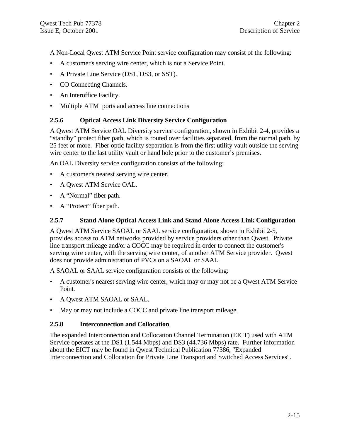A Non-Local Qwest ATM Service Point service configuration may consist of the following:

- A customer's serving wire center, which is not a Service Point.
- A Private Line Service (DS1, DS3, or SST).
- CO Connecting Channels.
- An Interoffice Facility.
- Multiple ATM ports and access line connections

#### **2.5.6 Optical Access Link Diversity Service Configuration**

A Qwest ATM Service OAL Diversity service configuration, shown in Exhibit 2-4, provides a "standby" protect fiber path, which is routed over facilities separated, from the normal path, by 25 feet or more. Fiber optic facility separation is from the first utility vault outside the serving wire center to the last utility vault or hand hole prior to the customer's premises.

An OAL Diversity service configuration consists of the following:

- A customer's nearest serving wire center.
- A Qwest ATM Service OAL.
- A "Normal" fiber path.
- A "Protect" fiber path.

#### **2.5.7 Stand Alone Optical Access Link and Stand Alone Access Link Configuration**

A Qwest ATM Service SAOAL or SAAL service configuration, shown in Exhibit 2-5, provides access to ATM networks provided by service providers other than Qwest. Private line transport mileage and/or a COCC may be required in order to connect the customer's serving wire center, with the serving wire center, of another ATM Service provider. Qwest does not provide administration of PVCs on a SAOAL or SAAL.

A SAOAL or SAAL service configuration consists of the following:

- A customer's nearest serving wire center, which may or may not be a Qwest ATM Service Point.
- A Qwest ATM SAOAL or SAAL.
- May or may not include a COCC and private line transport mileage.

#### **2.5.8 Interconnection and Collocation**

The expanded Interconnection and Collocation Channel Termination (EICT) used with ATM Service operates at the DS1 (1.544 Mbps) and DS3 (44.736 Mbps) rate. Further information about the EICT may be found in Qwest Technical Publication 77386, "Expanded Interconnection and Collocation for Private Line Transport and Switched Access Services"*.*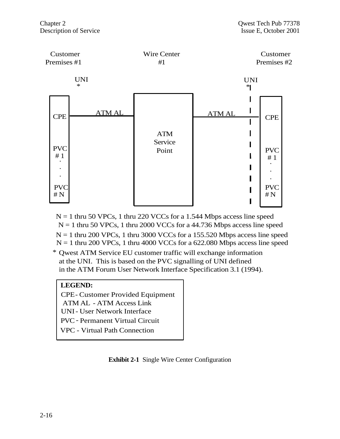

 $N = 1$  thru 50 VPCs, 1 thru 220 VCCs for a 1.544 Mbps access line speed  $N = 1$  thru 50 VPCs, 1 thru 2000 VCCs for a 44.736 Mbps access line speed  $N = 1$  thru 200 VPCs, 1 thru 3000 VCCs for a 155.520 Mbps access line speed  $N = 1$  thru 200 VPCs, 1 thru 4000 VCCs for a 622.080 Mbps access line speed

\* Qwest ATM Service EU customer traffic will exchange information at the UNI. This is based on the PVC signalling of UNI defined in the ATM Forum User Network Interface Specification 3.1 (1994).

#### **LEGEND:**

CPE- Customer Provided Equipment ATM AL - ATM Access Link UNI- User Network Interface PVC- Permanent Virtual Circuit VPC - Virtual Path Connection

### **Exhibit 2-1** Single Wire Center Configuration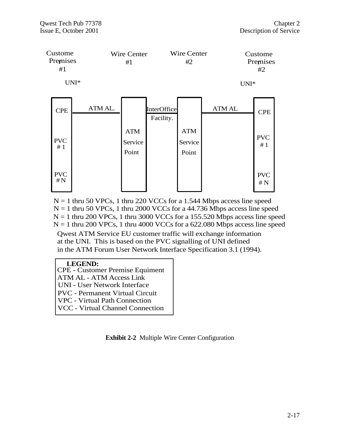

 $N = 1$  thru 200 VPCs, 1 thru 3000 VCCs for a 155.520 Mbps access line speed  $N = 1$  thru 50 VPCs, 1 thru 220 VCCs for a 1.544 Mbps access line speed  $N = 1$  thru 50 VPCs, 1 thru 2000 VCCs for a 44.736 Mbps access line speed  $N = 1$  thru 200 VPCs, 1 thru 4000 VCCs for a 622.080 Mbps access line speed

Qwest ATM Service EU customer traffic will exchange information at the UNI. This is based on the PVC signalling of UNI defined in the ATM Forum User Network Interface Specification 3.1 (1994).

#### **LEGEND:**

- CPE Customer Premise Equiment
- ATM AL ATM Access Link
- UNI User Network Interface
- PVC Permanent Virtual Circuit
- VPC Virtual Path Connection
- VCC Virtual Channel Connection

**Exhibit 2-2** Multiple Wire Center Configuration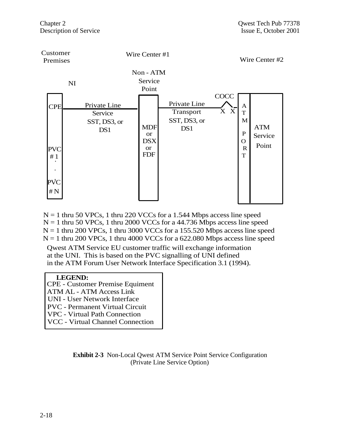

 $N = 1$  thru 200 VPCs, 1 thru 3000 VCCs for a 155.520 Mbps access line speed  $N = 1$  thru 50 VPCs, 1 thru 220 VCCs for a 1.544 Mbps access line speed  $N = 1$  thru 50 VPCs, 1 thru 2000 VCCs for a 44.736 Mbps access line speed  $N = 1$  thru 200 VPCs, 1 thru 4000 VCCs for a 622.080 Mbps access line speed

Qwest ATM Service EU customer traffic will exchange information at the UNI. This is based on the PVC signalling of UNI defined in the ATM Forum User Network Interface Specification 3.1 (1994).

#### **LEGEND:**

| <b>CPE - Customer Premise Equiment</b> |
|----------------------------------------|
| <b>ATM AL - ATM Access Link</b>        |
| <b>UNI</b> - User Network Interface    |
| <b>PVC</b> - Permanent Virtual Circuit |
|                                        |

VPC - Virtual Path Connection

VCC - Virtual Channel Connection

**Exhibit 2-3** Non-Local Qwest ATM Service Point Service Configuration (Private Line Service Option)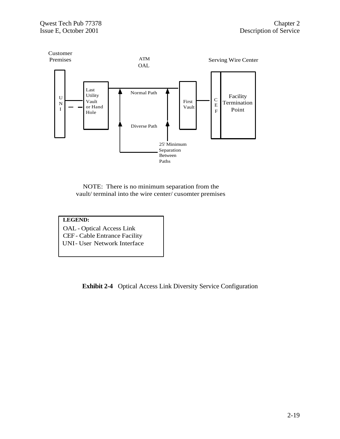

NOTE: There is no minimum separation from the vault/ terminal into the wire center/ cusomter premises



**Exhibit 2-4** Optical Access Link Diversity Service Configuration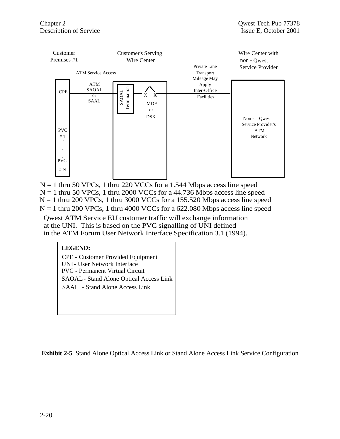

 $N = 1$  thru 50 VPCs, 1 thru 220 VCCs for a 1.544 Mbps access line speed  $N = 1$  thru 50 VPCs, 1 thru 2000 VCCs for a 44.736 Mbps access line speed  $N = 1$  thru 200 VPCs, 1 thru 4000 VCCs for a 622.080 Mbps access line speed  $N = 1$  thru 200 VPCs, 1 thru 3000 VCCs for a 155.520 Mbps access line speed

Qwest ATM Service EU customer traffic will exchange information at the UNI. This is based on the PVC signalling of UNI defined in the ATM Forum User Network Interface Specification 3.1 (1994).

#### **LEGEND:**

CPE - Customer Provided Equipment UNI- User Network Interface PVC - Permanent Virtual Circuit SAOAL- Stand Alone Optical Access Link SAAL - Stand Alone Access Link

**Exhibit 2-5** Stand Alone Optical Access Link or Stand Alone Access Link Service Configuration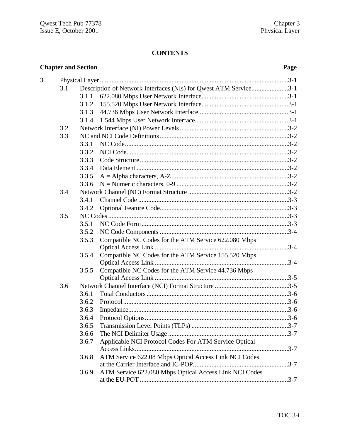# **CONTENTS**

| <b>Chapter and Section</b> |     |       | Page                                                             |  |
|----------------------------|-----|-------|------------------------------------------------------------------|--|
| 3.                         |     |       |                                                                  |  |
|                            | 3.1 |       | Description of Network Interfaces (NIs) for Qwest ATM Service3-1 |  |
|                            |     | 3.1.1 |                                                                  |  |
|                            |     | 3.1.2 |                                                                  |  |
|                            |     | 3.1.3 |                                                                  |  |
|                            |     | 3.1.4 |                                                                  |  |
|                            | 3.2 |       |                                                                  |  |
|                            | 3.3 |       |                                                                  |  |
|                            |     | 3.3.1 |                                                                  |  |
|                            |     | 3.3.2 |                                                                  |  |
|                            |     | 3.3.3 |                                                                  |  |
|                            |     | 3.3.4 |                                                                  |  |
|                            |     | 3.3.5 |                                                                  |  |
|                            |     | 3.3.6 |                                                                  |  |
|                            | 3.4 |       |                                                                  |  |
|                            |     | 3.4.1 |                                                                  |  |
|                            |     | 3.4.2 |                                                                  |  |
|                            | 3.5 |       |                                                                  |  |
|                            |     | 3.5.1 |                                                                  |  |
|                            |     | 3.5.2 |                                                                  |  |
|                            |     | 3.5.3 | Compatible NC Codes for the ATM Service 622.080 Mbps             |  |
|                            |     |       |                                                                  |  |
|                            |     | 3.5.4 | Compatible NC Codes for the ATM Service 155.520 Mbps             |  |
|                            |     |       |                                                                  |  |
|                            |     | 3.5.5 | Compatible NC Codes for the ATM Service 44.736 Mbps              |  |
|                            |     |       |                                                                  |  |
|                            | 3.6 |       |                                                                  |  |
|                            |     | 3.6.1 |                                                                  |  |
|                            |     | 3.6.2 |                                                                  |  |
|                            |     | 3.6.3 |                                                                  |  |
|                            |     | 3.6.4 |                                                                  |  |
|                            |     | 3.6.5 |                                                                  |  |
|                            |     | 3.6.6 |                                                                  |  |
|                            |     | 3.6.7 | Applicable NCI Protocol Codes For ATM Service Optical            |  |
|                            |     |       |                                                                  |  |
|                            |     | 3.6.8 | ATM Service 622.08 Mbps Optical Access Link NCI Codes            |  |
|                            |     |       |                                                                  |  |
|                            |     | 3.6.9 | ATM Service 622.080 Mbps Optical Access Link NCI Codes           |  |
|                            |     |       |                                                                  |  |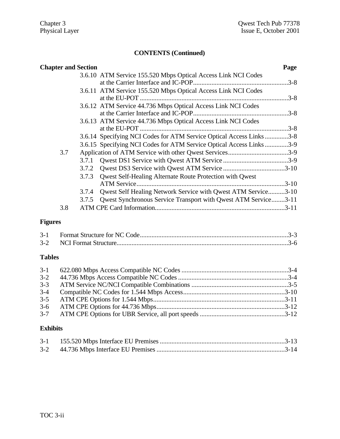| <b>Chapter and Section</b> |                                                                      | Page |
|----------------------------|----------------------------------------------------------------------|------|
|                            | 3.6.10 ATM Service 155.520 Mbps Optical Access Link NCI Codes        |      |
|                            |                                                                      |      |
|                            | 3.6.11 ATM Service 155.520 Mbps Optical Access Link NCI Codes        |      |
|                            |                                                                      |      |
|                            | 3.6.12 ATM Service 44.736 Mbps Optical Access Link NCI Codes         |      |
|                            |                                                                      |      |
|                            | 3.6.13 ATM Service 44.736 Mbps Optical Access Link NCI Codes         |      |
|                            | at the EU-POT.                                                       |      |
|                            | 3.6.14 Specifying NCI Codes for ATM Service Optical Access Links 3-8 |      |
|                            | 3.6.15 Specifying NCI Codes for ATM Service Optical Access Links3-9  |      |
| 3.7                        |                                                                      |      |
| 3.7.1                      |                                                                      |      |
|                            |                                                                      |      |
| 3.7.3                      | Qwest Self-Healing Alternate Route Protection with Qwest             |      |
|                            |                                                                      |      |
| 3.7.4                      | Qwest Self Healing Network Service with Qwest ATM Service3-10        |      |
| 3.7.5                      | Qwest Synchronous Service Transport with Qwest ATM Service3-11       |      |
| 3.8                        |                                                                      |      |

# **Figures**

# **Tables**

| $3 - 2$ |  |
|---------|--|
| $3 - 3$ |  |
| $3-4$   |  |
|         |  |
|         |  |
|         |  |

# **Exhibits**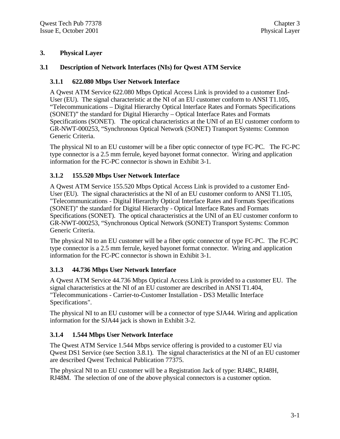#### **3. Physical Layer**

#### **3.1 Description of Network Interfaces (NIs) for Qwest ATM Service**

#### **3.1.1 622.080 Mbps User Network Interface**

A Qwest ATM Service 622.080 Mbps Optical Access Link is provided to a customer End-User (EU). The signal characteristic at the NI of an EU customer conform to ANSI T1.105, "Telecommunications – Digital Hierarchy Optical Interface Rates and Formats Specifications (SONET)" the standard for Digital Hierarchy – Optical Interface Rates and Formats Specifications (SONET). The optical characteristics at the UNI of an EU customer conform to GR-NWT-000253, "Synchronous Optical Network (SONET) Transport Systems: Common Generic Criteria.

The physical NI to an EU customer will be a fiber optic connector of type FC-PC. The FC-PC type connector is a 2.5 mm ferrule, keyed bayonet format connector. Wiring and application information for the FC-PC connector is shown in Exhibit 3-1.

#### **3.1.2 155.520 Mbps User Network Interface**

A Qwest ATM Service 155.520 Mbps Optical Access Link is provided to a customer End-User (EU). The signal characteristics at the NI of an EU customer conform to ANSI T1.105, "Telecommunications - Digital Hierarchy Optical Interface Rates and Formats Specifications (SONET)" the standard for Digital Hierarchy - Optical Interface Rates and Formats Specifications (SONET). The optical characteristics at the UNI of an EU customer conform to GR-NWT-000253, "Synchronous Optical Network (SONET) Transport Systems: Common Generic Criteria.

The physical NI to an EU customer will be a fiber optic connector of type FC-PC. The FC-PC type connector is a 2.5 mm ferrule, keyed bayonet format connector. Wiring and application information for the FC-PC connector is shown in Exhibit 3-1.

### **3.1.3 44.736 Mbps User Network Interface**

A Qwest ATM Service 44.736 Mbps Optical Access Link is provided to a customer EU. The signal characteristics at the NI of an EU customer are described in ANSI T1.404, "Telecommunications - Carrier-to-Customer Installation - DS3 Metallic Interface Specifications".

The physical NI to an EU customer will be a connector of type SJA44. Wiring and application information for the SJA44 jack is shown in Exhibit 3-2.

### **3.1.4 1.544 Mbps User Network Interface**

The Qwest ATM Service 1.544 Mbps service offering is provided to a customer EU via Qwest DS1 Service (see Section 3.8.1). The signal characteristics at the NI of an EU customer are described Qwest Technical Publication 77375.

The physical NI to an EU customer will be a Registration Jack of type: RJ48C, RJ48H, RJ48M. The selection of one of the above physical connectors is a customer option.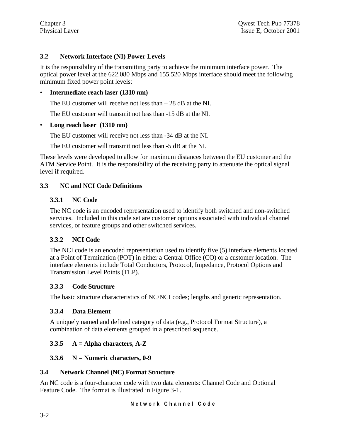## **3.2 Network Interface (NI) Power Levels**

It is the responsibility of the transmitting party to achieve the minimum interface power. The optical power level at the 622.080 Mbps and 155.520 Mbps interface should meet the following minimum fixed power point levels:

## • **Intermediate reach laser (1310 nm)**

The EU customer will receive not less than – 28 dB at the NI.

The EU customer will transmit not less than  $-15$  dB at the NI.

## • **Long reach laser (1310 nm)**

The EU customer will receive not less than -34 dB at the NI.

The EU customer will transmit not less than  $-5$  dB at the NI.

These levels were developed to allow for maximum distances between the EU customer and the ATM Service Point. It is the responsibility of the receiving party to attenuate the optical signal level if required.

## **3.3 NC and NCI Code Definitions**

## **3.3.1 NC Code**

The NC code is an encoded representation used to identify both switched and non-switched services. Included in this code set are customer options associated with individual channel services, or feature groups and other switched services.

## **3.3.2 NCI Code**

The NCI code is an encoded representation used to identify five (5) interface elements located at a Point of Termination (POT) in either a Central Office (CO) or a customer location. The interface elements include Total Conductors, Protocol, Impedance, Protocol Options and Transmission Level Points (TLP).

## **3.3.3 Code Structure**

The basic structure characteristics of NC/NCI codes; lengths and generic representation.

## **3.3.4 Data Element**

A uniquely named and defined category of data (e.g., Protocol Format Structure), a combination of data elements grouped in a prescribed sequence.

## **3.3.5 A = Alpha characters, A-Z**

## **3.3.6 N = Numeric characters, 0-9**

## **3.4 Network Channel (NC) Format Structure**

An NC code is a four-character code with two data elements: Channel Code and Optional Feature Code. The format is illustrated in Figure 3-1.

**Network Channel Code**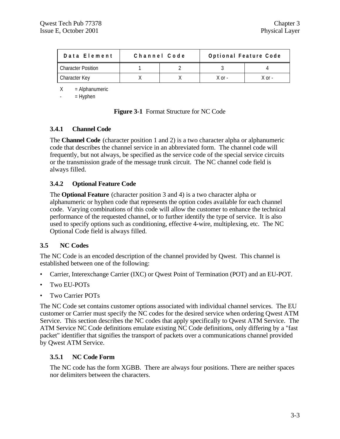| Data Element              | Channel Code |        | Optional Feature Code |
|---------------------------|--------------|--------|-----------------------|
| <b>Character Position</b> |              |        |                       |
| Character Key             |              | X or - | X nr -                |

 $X = Alphantumeric$ 

 $=$  Hyphen

|  | <b>Figure 3-1</b> Format Structure for NC Code |  |
|--|------------------------------------------------|--|
|--|------------------------------------------------|--|

#### **3.4.1 Channel Code**

The **Channel Code** (character position 1 and 2) is a two character alpha or alphanumeric code that describes the channel service in an abbreviated form. The channel code will frequently, but not always, be specified as the service code of the special service circuits or the transmission grade of the message trunk circuit. The NC channel code field is always filled.

#### **3.4.2 Optional Feature Code**

The **Optional Feature** (character position 3 and 4) is a two character alpha or alphanumeric or hyphen code that represents the option codes available for each channel code. Varying combinations of this code will allow the customer to enhance the technical performance of the requested channel, or to further identify the type of service. It is also used to specify options such as conditioning, effective 4-wire, multiplexing, etc. The NC Optional Code field is always filled.

#### **3.5 NC Codes**

The NC Code is an encoded description of the channel provided by Qwest. This channel is established between one of the following:

- Carrier, Interexchange Carrier (IXC) or Qwest Point of Termination (POT) and an EU-POT.
- Two EU-POTs
- Two Carrier POTs

The NC Code set contains customer options associated with individual channel services. The EU customer or Carrier must specify the NC codes for the desired service when ordering Qwest ATM Service. This section describes the NC codes that apply specifically to Qwest ATM Service. The ATM Service NC Code definitions emulate existing NC Code definitions, only differing by a "fast packet" identifier that signifies the transport of packets over a communications channel provided by Qwest ATM Service.

#### **3.5.1 NC Code Form**

The NC code has the form XGBB. There are always four positions. There are neither spaces nor delimiters between the characters.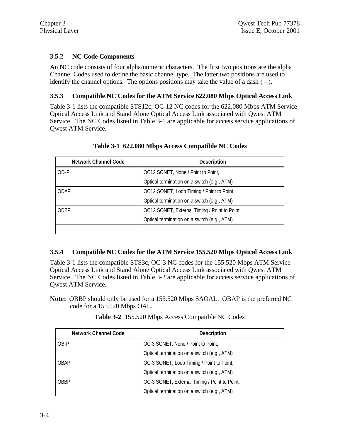## **3.5.2 NC Code Components**

An NC code consists of four alpha/numeric characters. The first two positions are the alpha Channel Codes used to define the basic channel type. The latter two positions are used to identify the channel options. The options positions may take the value of a dash ( - ).

## **3.5.3 Compatible NC Codes for the ATM Service 622.080 Mbps Optical Access Link**

Table 3-1 lists the compatible STS12c, OC-12 NC codes for the 622.080 Mbps ATM Service Optical Access Link and Stand Alone Optical Access Link associated with Qwest ATM Service. The NC Codes listed in Table 3-1 are applicable for access service applications of Qwest ATM Service.

| <b>Network Channel Code</b> | <b>Description</b>                            |
|-----------------------------|-----------------------------------------------|
| OD-P                        | OC12 SONET, None / Point to Point,            |
|                             | Optical termination on a switch (e.g., ATM)   |
| ODAP                        | OC12 SONET, Loop Timing / Point to Point,     |
|                             | Optical termination on a switch (e.g., ATM)   |
| ODBP                        | OC12 SONET, External Timing / Point to Point, |
|                             | Optical termination on a switch (e.g., ATM)   |
|                             |                                               |

## **Table 3-1 622.080 Mbps Access Compatible NC Codes**

## **3.5.4 Compatible NC Codes for the ATM Service 155.520 Mbps Optical Access Link**

Table 3-1 lists the compatible STS3c, OC-3 NC codes for the 155.520 Mbps ATM Service Optical Access Link and Stand Alone Optical Access Link associated with Qwest ATM Service. The NC Codes listed in Table 3-2 are applicable for access service applications of Qwest ATM Service.

**Note:** OBBP should only be used for a 155.520 Mbps SAOAL. OBAP is the preferred NC code for a 155.520 Mbps OAL.

| <b>Network Channel Code</b> | <b>Description</b>                            |
|-----------------------------|-----------------------------------------------|
| OB-P                        | OC-3 SONET, None / Point to Point,            |
|                             | Optical termination on a switch (e.g., ATM)   |
| OBAP                        | OC-3 SONET, Loop Timing / Point to Point,     |
|                             | Optical termination on a switch (e.g., ATM)   |
| OBBP                        | OC-3 SONET, External Timing / Point to Point, |
|                             | Optical termination on a switch (e.g., ATM)   |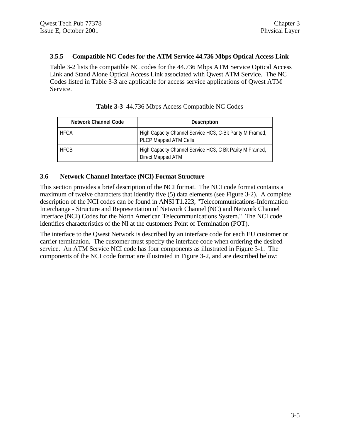#### **3.5.5 Compatible NC Codes for the ATM Service 44.736 Mbps Optical Access Link**

Table 3-2 lists the compatible NC codes for the 44.736 Mbps ATM Service Optical Access Link and Stand Alone Optical Access Link associated with Qwest ATM Service. The NC Codes listed in Table 3-3 are applicable for access service applications of Qwest ATM Service.

| <b>Network Channel Code</b> | <b>Description</b>                                                                 |
|-----------------------------|------------------------------------------------------------------------------------|
| <b>HFCA</b>                 | High Capacity Channel Service HC3, C-Bit Parity M Framed,<br>PLCP Mapped ATM Cells |
| <b>HFCB</b>                 | High Capacity Channel Service HC3, C Bit Parity M Framed,<br>Direct Mapped ATM     |

|  | Table 3-3 44.736 Mbps Access Compatible NC Codes |  |  |  |
|--|--------------------------------------------------|--|--|--|
|--|--------------------------------------------------|--|--|--|

#### **3.6 Network Channel Interface (NCI) Format Structure**

This section provides a brief description of the NCI format. The NCI code format contains a maximum of twelve characters that identify five (5) data elements (see Figure 3-2). A complete description of the NCI codes can be found in ANSI T1.223, "Telecommunications-Information Interchange - Structure and Representation of Network Channel (NC) and Network Channel Interface (NCI) Codes for the North American Telecommunications System." The NCI code identifies characteristics of the NI at the customers Point of Termination (POT).

The interface to the Qwest Network is described by an interface code for each EU customer or carrier termination. The customer must specify the interface code when ordering the desired service. An ATM Service NCI code has four components as illustrated in Figure 3-1. The components of the NCI code format are illustrated in Figure 3-2, and are described below: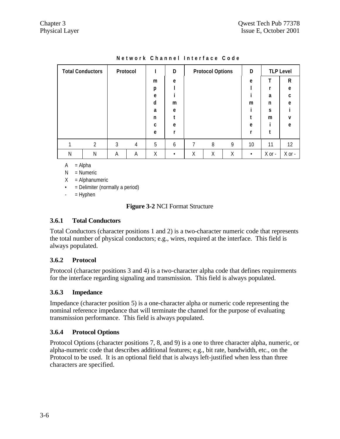| <b>Total Conductors</b> |                |   | Protocol |   | D |   | <b>Protocol Options</b> |   | D         |            | <b>TLP Level</b> |
|-------------------------|----------------|---|----------|---|---|---|-------------------------|---|-----------|------------|------------------|
|                         |                |   |          | m | e |   |                         |   | e         | т          | $\mathsf{R}$     |
|                         |                |   |          | p |   |   |                         |   |           |            | e                |
|                         |                |   |          | e |   |   |                         |   |           | a          | C                |
|                         |                |   |          | d | m |   |                         |   | m         | n          | e                |
|                         |                |   |          | a | e |   |                         |   |           | S          |                  |
|                         |                |   |          | n |   |   |                         |   |           | m          | $\mathsf{v}$     |
|                         |                |   |          | C | e |   |                         |   | e         |            | e                |
|                         |                |   |          | e | r |   |                         |   | r         |            |                  |
|                         | $\overline{2}$ | 3 | 4        | 5 | 6 | 7 | 8                       | 9 | 10        | 11         | 12               |
| Ν                       | Ν              | Α | Α        | Χ | ٠ | Χ | Χ                       | Χ | $\bullet$ | $X$ or $-$ | $X$ or -         |

**Network Channel Interface Code**

 $A = Alpha$ 

 $N =$  Numeric

 $X =$  Alphanumeric

• = Delimiter (normally a period)

 $-$  = Hyphen

## **Figure 3-2** NCI Format Structure

## **3.6.1 Total Conductors**

Total Conductors (character positions 1 and 2) is a two-character numeric code that represents the total number of physical conductors; e.g., wires, required at the interface. This field is always populated.

## **3.6.2 Protocol**

Protocol (character positions 3 and 4) is a two-character alpha code that defines requirements for the interface regarding signaling and transmission. This field is always populated.

## **3.6.3 Impedance**

Impedance (character position 5) is a one-character alpha or numeric code representing the nominal reference impedance that will terminate the channel for the purpose of evaluating transmission performance. This field is always populated.

## **3.6.4 Protocol Options**

Protocol Options (character positions 7, 8, and 9) is a one to three character alpha, numeric, or alpha-numeric code that describes additional features; e.g., bit rate, bandwidth, etc., on the Protocol to be used. It is an optional field that is always left-justified when less than three characters are specified.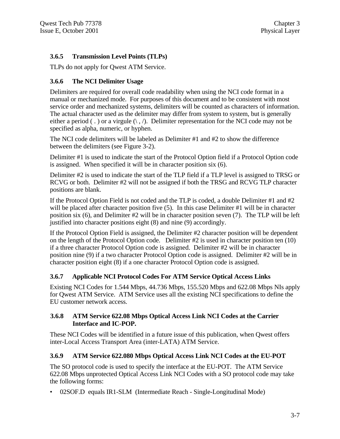## **3.6.5 Transmission Level Points (TLPs)**

TLPs do not apply for Qwest ATM Service.

## **3.6.6 The NCI Delimiter Usage**

Delimiters are required for overall code readability when using the NCI code format in a manual or mechanized mode. For purposes of this document and to be consistent with most service order and mechanized systems, delimiters will be counted as characters of information. The actual character used as the delimiter may differ from system to system, but is generally either a period (.) or a virgule  $(\cdot, \cdot)$ . Delimiter representation for the NCI code may not be specified as alpha, numeric, or hyphen.

The NCI code delimiters will be labeled as Delimiter #1 and #2 to show the difference between the delimiters (see Figure 3-2).

Delimiter #1 is used to indicate the start of the Protocol Option field if a Protocol Option code is assigned. When specified it will be in character position six (6).

Delimiter #2 is used to indicate the start of the TLP field if a TLP level is assigned to TRSG or RCVG or both. Delimiter #2 will not be assigned if both the TRSG and RCVG TLP character positions are blank.

If the Protocol Option Field is not coded and the TLP is coded, a double Delimiter #1 and #2 will be placed after character position five (5). In this case Delimiter #1 will be in character position six (6), and Delimiter #2 will be in character position seven (7). The TLP will be left justified into character positions eight (8) and nine (9) accordingly.

If the Protocol Option Field is assigned, the Delimiter #2 character position will be dependent on the length of the Protocol Option code. Delimiter #2 is used in character position ten (10) if a three character Protocol Option code is assigned. Delimiter #2 will be in character position nine (9) if a two character Protocol Option code is assigned. Delimiter #2 will be in character position eight (8) if a one character Protocol Option code is assigned.

## **3.6.7 Applicable NCI Protocol Codes For ATM Service Optical Access Links**

Existing NCI Codes for 1.544 Mbps, 44.736 Mbps, 155.520 Mbps and 622.08 Mbps NIs apply for Qwest ATM Service. ATM Service uses all the existing NCI specifications to define the EU customer network access.

## **3.6.8 ATM Service 622.08 Mbps Optical Access Link NCI Codes at the Carrier Interface and IC-POP.**

These NCI Codes will be identified in a future issue of this publication, when Qwest offers inter-Local Access Transport Area (inter-LATA) ATM Service.

## **3.6.9 ATM Service 622.080 Mbps Optical Access Link NCI Codes at the EU-POT**

The SO protocol code is used to specify the interface at the EU-POT. The ATM Service 622.08 Mbps unprotected Optical Access Link NCI Codes with a SO protocol code may take the following forms:

• 02SOF.D equals IR1-SLM (Intermediate Reach - Single-Longitudinal Mode)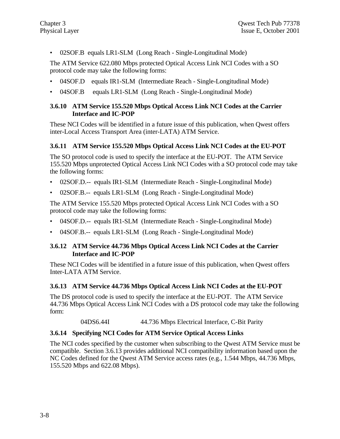• 02SOF.B equals LR1-SLM (Long Reach - Single-Longitudinal Mode)

The ATM Service 622.080 Mbps protected Optical Access Link NCI Codes with a SO protocol code may take the following forms:

- 04SOF.D equals IR1-SLM (Intermediate Reach Single-Longitudinal Mode)
- 04SOF.B equals LR1-SLM (Long Reach Single-Longitudinal Mode)

#### **3.6.10 ATM Service 155.520 Mbps Optical Access Link NCI Codes at the Carrier Interface and IC-POP**

These NCI Codes will be identified in a future issue of this publication, when Qwest offers inter-Local Access Transport Area (inter-LATA) ATM Service.

#### **3.6.11 ATM Service 155.520 Mbps Optical Access Link NCI Codes at the EU-POT**

The SO protocol code is used to specify the interface at the EU-POT. The ATM Service 155.520 Mbps unprotected Optical Access Link NCI Codes with a SO protocol code may take the following forms:

- 02SOF.D.-- equals IR1-SLM (Intermediate Reach Single-Longitudinal Mode)
- 02SOF.B.-- equals LR1-SLM (Long Reach Single-Longitudinal Mode)

The ATM Service 155.520 Mbps protected Optical Access Link NCI Codes with a SO protocol code may take the following forms:

- 04SOF.D.-- equals IR1-SLM (Intermediate Reach Single-Longitudinal Mode)
- 04SOF.B.-- equals LR1-SLM (Long Reach Single-Longitudinal Mode)

#### **3.6.12 ATM Service 44.736 Mbps Optical Access Link NCI Codes at the Carrier Interface and IC-POP**

These NCI Codes will be identified in a future issue of this publication, when Qwest offers Inter-LATA ATM Service.

#### **3.6.13 ATM Service 44.736 Mbps Optical Access Link NCI Codes at the EU-POT**

The DS protocol code is used to specify the interface at the EU-POT. The ATM Service 44.736 Mbps Optical Access Link NCI Codes with a DS protocol code may take the following form:

04DS6.44I 44.736 Mbps Electrical Interface, C-Bit Parity

#### **3.6.14 Specifying NCI Codes for ATM Service Optical Access Links**

The NCI codes specified by the customer when subscribing to the Qwest ATM Service must be compatible. Section 3.6.13 provides additional NCI compatibility information based upon the NC Codes defined for the Qwest ATM Service access rates (e.g., 1.544 Mbps, 44.736 Mbps, 155.520 Mbps and 622.08 Mbps).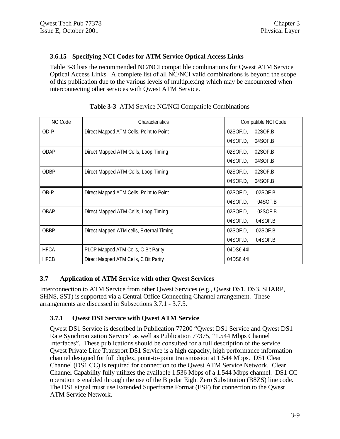## **3.6.15 Specifying NCI Codes for ATM Service Optical Access Links**

Table 3-3 lists the recommended NC/NCI compatible combinations for Qwest ATM Service Optical Access Links. A complete list of all NC/NCI valid combinations is beyond the scope of this publication due to the various levels of multiplexing which may be encountered when interconnecting other services with Qwest ATM Service.

| NC Code     | <b>Characteristics</b>                   | Compatible NCI Code |
|-------------|------------------------------------------|---------------------|
| OD-P        | Direct Mapped ATM Cells, Point to Point  | 02SOF.D<br>02SOF.B  |
|             |                                          | 04SOF.D.<br>04SOF.B |
| ODAP        | Direct Mapped ATM Cells, Loop Timing     | 02SOF.D.<br>02SOF.B |
|             |                                          | 04SOF.D.<br>04SOF.B |
| ODBP        | Direct Mapped ATM Cells, Loop Timing     | 02SOF.D.<br>02SOF.B |
|             |                                          | 04SOF.D.<br>04SOF.B |
| OB-P        | Direct Mapped ATM Cells, Point to Point  | 02SOF.D.<br>02SOF.B |
|             |                                          | 04SOF.D.<br>04SOF.B |
| OBAP        | Direct Mapped ATM Cells, Loop Timing     | 02SOF.D.<br>02SOF.B |
|             |                                          | 04SOF.D.<br>04SOF.B |
| OBBP        | Direct Mapped ATM cells, External Timing | 02SOF.D.<br>02SOF.B |
|             |                                          | 04SOF.D.<br>04SOF.B |
| <b>HFCA</b> | PLCP Mapped ATM Cells, C-Bit Parity      | 04DS6.44I           |
| <b>HFCB</b> | Direct Mapped ATM Cells, C Bit Parity    | 04DS6.44I           |

## **Table 3-3** ATM Service NC/NCI Compatible Combinations

#### **3.7 Application of ATM Service with other Qwest Services**

Interconnection to ATM Service from other Qwest Services (e.g., Qwest DS1, DS3, SHARP, SHNS, SST) is supported via a Central Office Connecting Channel arrangement. These arrangements are discussed in Subsections 3.7.1 - 3.7.5.

## **3.7.1 Qwest DS1 Service with Qwest ATM Service**

Qwest DS1 Service is described in Publication 77200 "Qwest DS1 Service and Qwest DS1 Rate Synchronization Service" as well as Publication 77375, "1.544 Mbps Channel Interfaces". These publications should be consulted for a full description of the service. Qwest Private Line Transport DS1 Service is a high capacity, high performance information channel designed for full duplex, point-to-point transmission at 1.544 Mbps. DS1 Clear Channel (DS1 CC) is required for connection to the Qwest ATM Service Network. Clear Channel Capability fully utilizes the available 1.536 Mbps of a 1.544 Mbps channel. DS1 CC operation is enabled through the use of the Bipolar Eight Zero Substitution (B8ZS) line code. The DS1 signal must use Extended Superframe Format (ESF) for connection to the Qwest ATM Service Network.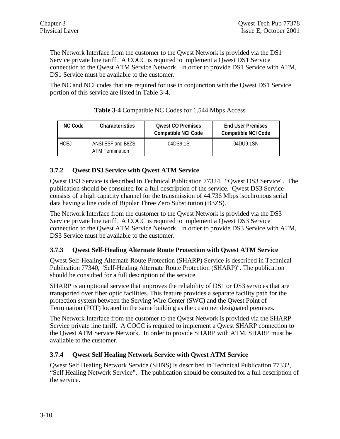The Network Interface from the customer to the Qwest Network is provided via the DS1 Service private line tariff. A COCC is required to implement a Qwest DS1 Service connection to the Qwest ATM Service Network. In order to provide DS1 Service with ATM, DS1 Service must be available to the customer.

The NC and NCI codes that are required for use in conjunction with the Qwest DS1 Service portion of this service are listed in Table 3-4.

| <b>NC Code</b> | <b>Characteristics</b>                | <b>Qwest CO Premises</b><br><b>Compatible NCI Code</b> | <b>End User Premises</b><br><b>Compatible NCI Code</b> |
|----------------|---------------------------------------|--------------------------------------------------------|--------------------------------------------------------|
| <b>HCEJ</b>    | ANSI ESF and B8ZS,<br>ATM Termination | 04DS9.1S                                               | 04DU9.1SN                                              |

## **Table 3-4** Compatible NC Codes for 1.544 Mbps Access

## **3.7.2 Qwest DS3 Service with Qwest ATM Service**

Qwest DS3 Service is described in Technical Publication 77324, "Qwest DS3 Service". The publication should be consulted for a full description of the service. Qwest DS3 Service consists of a high capacity channel for the transmission of 44.736 Mbps isochronous serial data having a line code of Bipolar Three Zero Substitution (B3ZS).

The Network Interface from the customer to the Qwest Network is provided via the DS3 Service private line tariff. A COCC is required to implement a Qwest DS3 Service connection to the Qwest ATM Service Network. In order to provide DS3 Service with ATM, DS3 Service must be available to the customer.

## **3.7.3 Qwest Self-Healing Alternate Route Protection with Qwest ATM Service**

Qwest Self-Healing Alternate Route Protection (SHARP) Service is described in Technical Publication 77340, "Self-Healing Alternate Route Protection (SHARP)". The publication should be consulted for a full description of the service.

SHARP is an optional service that improves the reliability of DS1 or DS3 services that are transported over fiber optic facilities. This feature provides a separate facility path for the protection system between the Serving Wire Center (SWC) and the Qwest Point of Termination (POT) located in the same building as the customer designated premises.

The Network Interface from the customer to the Qwest Network is provided via the SHARP Service private line tariff. A COCC is required to implement a Qwest SHARP connection to the Qwest ATM Service Network. In order to provide SHARP with ATM, SHARP must be available to the customer.

## **3.7.4 Qwest Self Healing Network Service with Qwest ATM Service**

Qwest Self Healing Network Service (SHNS) is described in Technical Publication 77332, "Self Healing Network Service".The publication should be consulted for a full description of the service.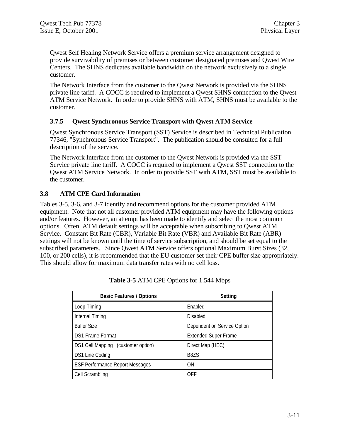Qwest Self Healing Network Service offers a premium service arrangement designed to provide survivability of premises or between customer designated premises and Qwest Wire Centers. The SHNS dedicates available bandwidth on the network exclusively to a single customer.

The Network Interface from the customer to the Qwest Network is provided via the SHNS private line tariff. A COCC is required to implement a Qwest SHNS connection to the Qwest ATM Service Network. In order to provide SHNS with ATM, SHNS must be available to the customer.

## **3.7.5 Qwest Synchronous Service Transport with Qwest ATM Service**

Qwest Synchronous Service Transport (SST) Service is described in Technical Publication 77346, "Synchronous Service Transport". The publication should be consulted for a full description of the service.

The Network Interface from the customer to the Qwest Network is provided via the SST Service private line tariff. A COCC is required to implement a Qwest SST connection to the Qwest ATM Service Network. In order to provide SST with ATM, SST must be available to the customer.

## **3.8 ATM CPE Card Information**

Tables 3-5, 3-6, and 3-7 identify and recommend options for the customer provided ATM equipment. Note that not all customer provided ATM equipment may have the following options and/or features. However, an attempt has been made to identify and select the most common options. Often, ATM default settings will be acceptable when subscribing to Qwest ATM Service. Constant Bit Rate (CBR), Variable Bit Rate (VBR) and Available Bit Rate (ABR) settings will not be known until the time of service subscription, and should be set equal to the subscribed parameters. Since Qwest ATM Service offers optional Maximum Burst Sizes (32, 100, or 200 cells), it is recommended that the EU customer set their CPE buffer size appropriately. This should allow for maximum data transfer rates with no cell loss.

| <b>Basic Features / Options</b>        | Setting                     |
|----------------------------------------|-----------------------------|
| Loop Timing                            | Fnabled                     |
| Internal Timing                        | Disabled                    |
| <b>Buffer Size</b>                     | Dependent on Service Option |
| <b>DS1 Frame Format</b>                | <b>Extended Super Frame</b> |
| DS1 Cell Mapping (customer option)     | Direct Map (HEC)            |
| DS1 Line Coding                        | <b>B87S</b>                 |
| <b>ESF Performance Report Messages</b> | ON                          |
| Cell Scrambling                        | OFF                         |

**Table 3-5** ATM CPE Options for 1.544 Mbps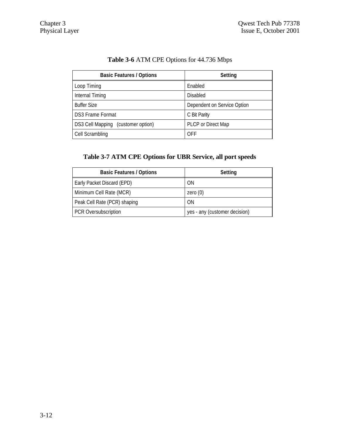|  |  | Table 3-6 ATM CPE Options for 44.736 Mbps |
|--|--|-------------------------------------------|
|--|--|-------------------------------------------|

| <b>Basic Features / Options</b>    | Setting                     |
|------------------------------------|-----------------------------|
| Loop Timing                        | Enabled                     |
| Internal Timing                    | <b>Disabled</b>             |
| <b>Buffer Size</b>                 | Dependent on Service Option |
| DS3 Frame Format                   | C Bit Parity                |
| DS3 Cell Mapping (customer option) | PLCP or Direct Map          |
| Cell Scrambling                    | OFF                         |

# **Table 3-7 ATM CPE Options for UBR Service, all port speeds**

| <b>Basic Features / Options</b> | Setting                       |
|---------------------------------|-------------------------------|
| Early Packet Discard (EPD)      | ΟN                            |
| Minimum Cell Rate (MCR)         | zero $(0)$                    |
| Peak Cell Rate (PCR) shaping    | ΟN                            |
| PCR Oversubscription            | yes - any (customer decision) |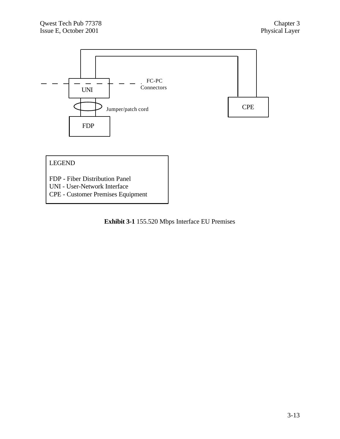

**Exhibit 3-1** 155.520 Mbps Interface EU Premises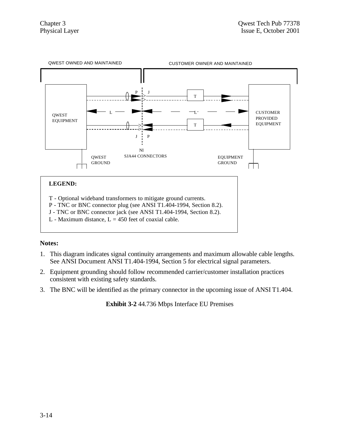

L - Maximum distance,  $L = 450$  feet of coaxial cable.

## **Notes:**

- 1. This diagram indicates signal continuity arrangements and maximum allowable cable lengths. See ANSI Document ANSI T1.404-1994, Section 5 for electrical signal parameters.
- 2. Equipment grounding should follow recommended carrier/customer installation practices consistent with existing safety standards.
- 3. The BNC will be identified as the primary connector in the upcoming issue of ANSI T1.404.

**Exhibit 3-2** 44.736 Mbps Interface EU Premises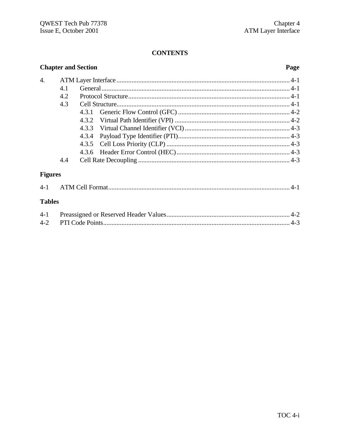## **CONTENTS**

#### **Chapter and Section**  $\overline{4}$ . 4.1  $4.2$ 4.3  $4.3.1$  $4.3.2$  $4.3.3$ 4.3.4  $4.3.5$  $4.3.6$  $44$ **Figures** ATM Cell Format (1990) 4-1  $4 - 1$ **Tables**  $4 - 1$  $4 - 2$

#### Page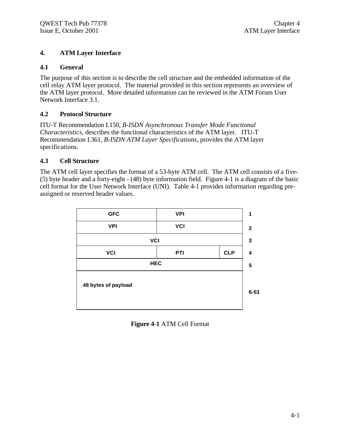## **4. ATM Layer Interface**

#### **4.1 General**

The purpose of this section is to describe the cell structure and the embedded information of the cell relay ATM layer protocol. The material provided in this section represents an overview of the ATM layer protocol. More detailed information can be reviewed in the ATM Forum User Network Interface 3.1.

## **4.2 Protocol Structure**

ITU-T Recommendation I.150, *B-ISDN Asynchronous Transfer Mode Functional Characteristics*, describes the functional characteristics of the ATM layer. ITU-T Recommendation I.361, *B-ISDN ATM Layer Specifications*, provides the ATM layer specifications.

## **4.3 Cell Structure**

The ATM cell layer specifies the format of a 53-byte ATM cell. The ATM cell consists of a five- (5) byte header and a forty-eight - (48) byte information field. Figure 4-1 is a diagram of the basic cell format for the User Network Interface (UNI). Table 4-1 provides information regarding preassigned or reserved header values.

| <b>GFC</b>          | <b>VPI</b> |            | 1                |
|---------------------|------------|------------|------------------|
| <b>VPI</b>          | <b>VCI</b> |            | $\boldsymbol{2}$ |
| <b>VCI</b>          |            |            | $\mathbf 3$      |
| <b>VCI</b>          | PTI        | <b>CLP</b> | 4                |
| <b>HEC</b>          |            |            | 5                |
| 48 bytes of payload |            |            | $6 - 53$         |
|                     |            |            |                  |

**Figure 4-1** ATM Cell Format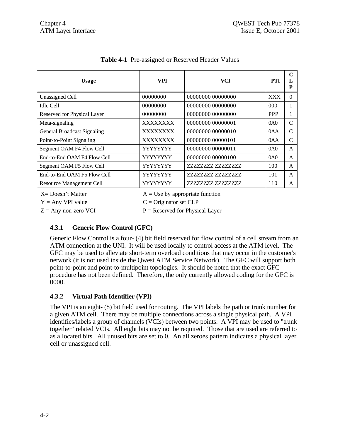| Usage                           | <b>VPI</b>                        | <b>VCI</b>               | <b>PTI</b> | $\mathbf C$<br>L<br>${\bf P}$ |
|---------------------------------|-----------------------------------|--------------------------|------------|-------------------------------|
| Unassigned Cell                 | 00000000                          | 00000000 00000000        | XXX        | $\Omega$                      |
| <b>Idle Cell</b>                | 00000000                          | 00000000 00000000        | 000        | 1                             |
| Reserved for Physical Layer     | 00000000                          | 00000000 00000000        | <b>PPP</b> | 1                             |
| Meta-signaling                  | XXXXXXXX                          | 00000000 00000001        | 0A0        | $\mathcal{C}$                 |
| General Broadcast Signaling     | XXXXXXXX                          | 00000000 00000010        | 0AA        | $\mathcal{C}$                 |
| Point-to-Point Signaling        | XXXXXXXX                          | 00000000 00000101        | 0AA        | $\mathcal{C}$                 |
| Segment OAM F4 Flow Cell        | YYYYYYY                           | 00000000 00000011        | 0A0        | $\mathsf{A}$                  |
| End-to-End OAM F4 Flow Cell     | YYYYYYY                           | 00000000 00000100        | 0A0        | $\mathsf{A}$                  |
| Segment OAM F5 Flow Cell        | YYYYYYY                           | 77777777.777777777       | 100        | A                             |
| End-to-End OAM F5 Flow Cell     | YYYYYYY                           | 77777777.777777777       | 101        | $\mathsf{A}$                  |
| <b>Resource Management Cell</b> | YYYYYYY                           | ZZZZZZZZ ZZZZZZZZZ       | 110        | $\mathbf{A}$                  |
| $X = Doesn't Matter$            | $A = Use by appropriate function$ |                          |            |                               |
| $Y = Any VPI value$             |                                   | $C =$ Originator set CLP |            |                               |

**Table 4-1** Pre-assigned or Reserved Header Values

 $Y = Any VPI value$   $C = Originator set CLP$  $Z = Any non-zero VCI$   $P = Research$  P = Reserved for Physical Layer

## **4.3.1 Generic Flow Control (GFC)**

Generic Flow Control is a four- (4) bit field reserved for flow control of a cell stream from an ATM connection at the UNI. It will be used locally to control access at the ATM level. The GFC may be used to alleviate short-term overload conditions that may occur in the customer's network (it is not used inside the Qwest ATM Service Network). The GFC will support both point-to-point and point-to-multipoint topologies. It should be noted that the exact GFC procedure has not been defined. Therefore, the only currently allowed coding for the GFC is 0000.

## **4.3.2 Virtual Path Identifier (VPI)**

The VPI is an eight- (8) bit field used for routing. The VPI labels the path or trunk number for a given ATM cell. There may be multiple connections across a single physical path. A VPI identifies/labels a group of channels (VCIs) between two points. A VPI may be used to "trunk together" related VCIs. All eight bits may not be required. Those that are used are referred to as allocated bits. All unused bits are set to 0. An all zeroes pattern indicates a physical layer cell or unassigned cell.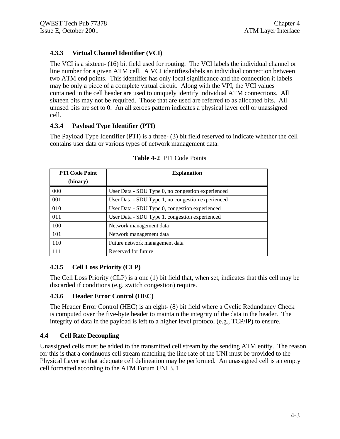## **4.3.3 Virtual Channel Identifier (VCI)**

The VCI is a sixteen- (16) bit field used for routing. The VCI labels the individual channel or line number for a given ATM cell. A VCI identifies/labels an individual connection between two ATM end points. This identifier has only local significance and the connection it labels may be only a piece of a complete virtual circuit. Along with the VPI, the VCI values contained in the cell header are used to uniquely identify individual ATM connections. All sixteen bits may not be required. Those that are used are referred to as allocated bits. All unused bits are set to 0. An all zeroes pattern indicates a physical layer cell or unassigned cell.

## **4.3.4 Payload Type Identifier (PTI)**

The Payload Type Identifier (PTI) is a three- (3) bit field reserved to indicate whether the cell contains user data or various types of network management data.

| <b>PTI Code Point</b> | <b>Explanation</b>                                |  |
|-----------------------|---------------------------------------------------|--|
| (binary)              |                                                   |  |
| 000                   | User Data - SDU Type 0, no congestion experienced |  |
| 001                   | User Data - SDU Type 1, no congestion experienced |  |
| 010                   | User Data - SDU Type 0, congestion experienced    |  |
| 011                   | User Data - SDU Type 1, congestion experienced    |  |
| 100                   | Network management data                           |  |
| 101                   | Network management data                           |  |
| 110                   | Future network management data                    |  |
| l 11                  | Reserved for future                               |  |

**Table 4-2** PTI Code Points

## **4.3.5 Cell Loss Priority (CLP)**

The Cell Loss Priority (CLP) is a one (1) bit field that, when set, indicates that this cell may be discarded if conditions (e.g. switch congestion) require.

## **4.3.6 Header Error Control (HEC)**

The Header Error Control (HEC) is an eight- (8) bit field where a Cyclic Redundancy Check is computed over the five-byte header to maintain the integrity of the data in the header. The integrity of data in the payload is left to a higher level protocol (e.g., TCP/IP) to ensure.

## **4.4 Cell Rate Decoupling**

Unassigned cells must be added to the transmitted cell stream by the sending ATM entity. The reason for this is that a continuous cell stream matching the line rate of the UNI must be provided to the Physical Layer so that adequate cell delineation may be performed. An unassigned cell is an empty cell formatted according to the ATM Forum UNI 3. 1.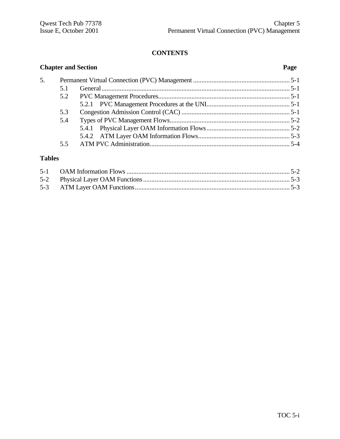## **CONTENTS**

| <b>Chapter and Section</b> |     | Page |  |
|----------------------------|-----|------|--|
| 5.                         |     |      |  |
|                            | 5.1 |      |  |
|                            | 5.2 |      |  |
|                            |     |      |  |
|                            | 5.3 |      |  |
|                            | 5.4 |      |  |
|                            |     |      |  |
|                            |     |      |  |
|                            | 5.5 |      |  |

## **Tables**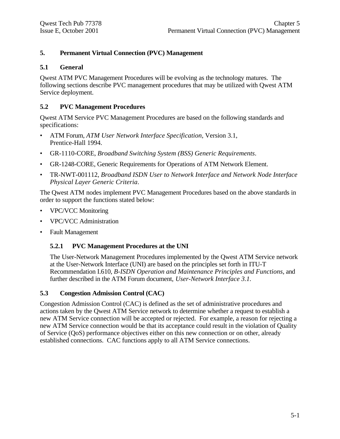## **5. Permanent Virtual Connection (PVC) Management**

#### **5.1 General**

Qwest ATM PVC Management Procedures will be evolving as the technology matures. The following sections describe PVC management procedures that may be utilized with Qwest ATM Service deployment.

#### **5.2 PVC Management Procedures**

Qwest ATM Service PVC Management Procedures are based on the following standards and specifications:

- ATM Forum, *ATM User Network Interface Specification*, Version 3.1, Prentice-Hall 1994.
- GR-1110-CORE, *Broadband Switching System (BSS) Generic Requirements*.
- GR-1248-CORE, Generic Requirements for Operations of ATM Network Element.
- TR-NWT-001112, *Broadband ISDN User to Network Interface and Network Node Interface Physical Layer Generic Criteria*.

The Qwest ATM nodes implement PVC Management Procedures based on the above standards in order to support the functions stated below:

- VPC/VCC Monitoring
- VPC/VCC Administration
- Fault Management

#### **5.2.1 PVC Management Procedures at the UNI**

The User-Network Management Procedures implemented by the Qwest ATM Service network at the User-Network Interface (UNI) are based on the principles set forth in ITU-T Recommendation I.610, *B-ISDN Operation and Maintenance Principles and Functions*, and further described in the ATM Forum document, *User-Network Interface 3.1.*

#### **5.3 Congestion Admission Control (CAC)**

Congestion Admission Control (CAC) is defined as the set of administrative procedures and actions taken by the Qwest ATM Service network to determine whether a request to establish a new ATM Service connection will be accepted or rejected. For example, a reason for rejecting a new ATM Service connection would be that its acceptance could result in the violation of Quality of Service (QoS) performance objectives either on this new connection or on other, already established connections. CAC functions apply to all ATM Service connections.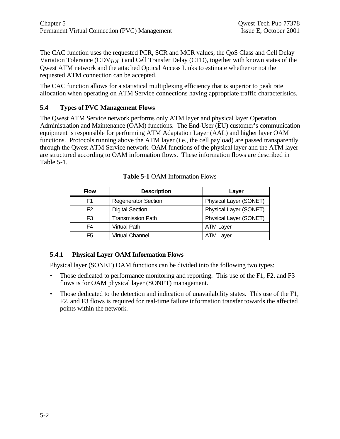The CAC function uses the requested PCR, SCR and MCR values, the QoS Class and Cell Delay Variation Tolerance (CDV*TOL* ) and Cell Transfer Delay (CTD), together with known states of the Qwest ATM network and the attached Optical Access Links to estimate whether or not the requested ATM connection can be accepted.

The CAC function allows for a statistical multiplexing efficiency that is superior to peak rate allocation when operating on ATM Service connections having appropriate traffic characteristics.

## **5.4 Types of PVC Management Flows**

The Qwest ATM Service network performs only ATM layer and physical layer Operation, Administration and Maintenance (OAM) functions. The End-User (EU) customer's communication equipment is responsible for performing ATM Adaptation Layer (AAL) and higher layer OAM functions. Protocols running above the ATM layer (i.e., the cell payload) are passed transparently through the Qwest ATM Service network. OAM functions of the physical layer and the ATM layer are structured according to OAM information flows. These information flows are described in Table 5-1.

| <b>Flow</b>    | <b>Description</b>         | Laver                  |
|----------------|----------------------------|------------------------|
| F1             | <b>Regenerator Section</b> | Physical Layer (SONET) |
| F <sub>2</sub> | <b>Digital Section</b>     | Physical Layer (SONET) |
| F3             | <b>Transmission Path</b>   | Physical Layer (SONET) |
| F4             | <b>Virtual Path</b>        | <b>ATM Layer</b>       |
| F5             | <b>Virtual Channel</b>     | <b>ATM Layer</b>       |

**Table 5-1** OAM Information Flows

## **5.4.1 Physical Layer OAM Information Flows**

Physical layer (SONET) OAM functions can be divided into the following two types:

- Those dedicated to performance monitoring and reporting. This use of the F1, F2, and F3 flows is for OAM physical layer (SONET) management.
- Those dedicated to the detection and indication of unavailability states. This use of the F1, F2, and F3 flows is required for real-time failure information transfer towards the affected points within the network.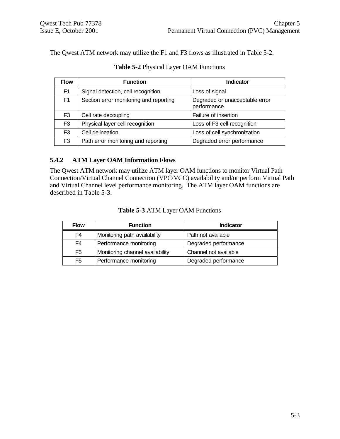The Qwest ATM network may utilize the F1 and F3 flows as illustrated in Table 5-2.

| <b>Flow</b>    | <b>Function</b>                        | <b>Indicator</b>                              |
|----------------|----------------------------------------|-----------------------------------------------|
| F <sub>1</sub> | Signal detection, cell recognition     | Loss of signal                                |
| F <sub>1</sub> | Section error monitoring and reporting | Degraded or unacceptable error<br>performance |
| F <sub>3</sub> | Cell rate decoupling                   | Failure of insertion                          |
| F <sub>3</sub> | Physical layer cell recognition        | Loss of F3 cell recognition                   |
| F <sub>3</sub> | Cell delineation                       | Loss of cell synchronization                  |
| F <sub>3</sub> | Path error monitoring and reporting    | Degraded error performance                    |

**Table 5-2** Physical Layer OAM Functions

## **5.4.2 ATM Layer OAM Information Flows**

The Qwest ATM network may utilize ATM layer OAM functions to monitor Virtual Path Connection/Virtual Channel Connection (VPC/VCC) availability and/or perform Virtual Path and Virtual Channel level performance monitoring. The ATM layer OAM functions are described in Table 5-3.

| <b>Flow</b>    | <b>Function</b>                 | <b>Indicator</b>      |
|----------------|---------------------------------|-----------------------|
| F4             | Monitoring path availability    | Path not available    |
| F4             | Performance monitoring          | Degraded performance  |
| F <sub>5</sub> | Monitoring channel availability | Channel not available |
| F <sub>5</sub> | Performance monitoring          | Degraded performance  |

#### **Table 5-3** ATM Layer OAM Functions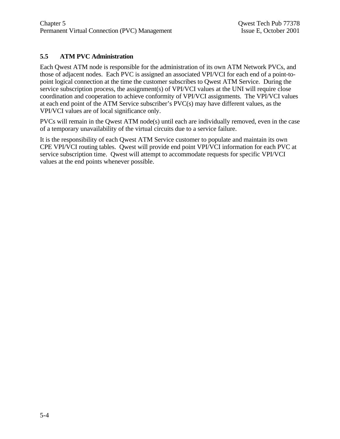## **5.5 ATM PVC Administration**

Each Qwest ATM node is responsible for the administration of its own ATM Network PVCs, and those of adjacent nodes. Each PVC is assigned an associated VPI/VCI for each end of a point-topoint logical connection at the time the customer subscribes to Qwest ATM Service. During the service subscription process, the assignment(s) of VPI/VCI values at the UNI will require close coordination and cooperation to achieve conformity of VPI/VCI assignments. The VPI/VCI values at each end point of the ATM Service subscriber's PVC(s) may have different values, as the VPI/VCI values are of local significance only.

PVCs will remain in the Qwest ATM node(s) until each are individually removed, even in the case of a temporary unavailability of the virtual circuits due to a service failure.

It is the responsibility of each Qwest ATM Service customer to populate and maintain its own CPE VPI/VCI routing tables. Qwest will provide end point VPI/VCI information for each PVC at service subscription time. Qwest will attempt to accommodate requests for specific VPI/VCI values at the end points whenever possible.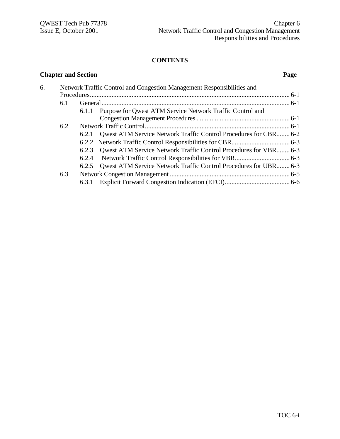#### **CONTENTS**

**Chapter and Section Page**

## 6. Network Traffic Control and Congestion Management Responsibilities and Procedures........................................................................................................................ 6-1 6.1 General................................................................................................................. 6-1 6.1.1 Purpose for Qwest ATM Service Network Traffic Control and Congestion Management Procedures........................................................ 6-1 6.2 Network Traffic Control....................................................................................... 6-1 6.2.1 Qwest ATM Service Network Traffic Control Procedures for CBR........ 6-2 6.2.2 Network Traffic Control Responsibilities for CBR................................... 6-3 6.2.3 Qwest ATM Service Network Traffic Control Procedures for VBR........ 6-3 6.2.4 Network Traffic Control Responsibilities for VBR................................. 6-3 6.2.5 Qwest ATM Service Network Traffic Control Procedures for UBR........ 6-3 6.3 Network Congestion Management ........................................................................ 6-5 6.3.1 Explicit Forward Congestion Indication (EFCI)....................................... 6-6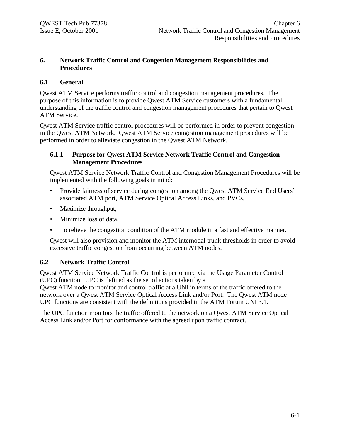## **6. Network Traffic Control and Congestion Management Responsibilities and Procedures**

#### **6.1 General**

Qwest ATM Service performs traffic control and congestion management procedures. The purpose of this information is to provide Qwest ATM Service customers with a fundamental understanding of the traffic control and congestion management procedures that pertain to Qwest ATM Service.

Qwest ATM Service traffic control procedures will be performed in order to prevent congestion in the Qwest ATM Network. Qwest ATM Service congestion management procedures will be performed in order to alleviate congestion in the Qwest ATM Network.

#### **6.1.1 Purpose for Qwest ATM Service Network Traffic Control and Congestion Management Procedures**

Qwest ATM Service Network Traffic Control and Congestion Management Procedures will be implemented with the following goals in mind:

- Provide fairness of service during congestion among the Qwest ATM Service End Users' associated ATM port, ATM Service Optical Access Links, and PVCs,
- Maximize throughput,
- Minimize loss of data,
- To relieve the congestion condition of the ATM module in a fast and effective manner.

Qwest will also provision and monitor the ATM internodal trunk thresholds in order to avoid excessive traffic congestion from occurring between ATM nodes.

## **6.2 Network Traffic Control**

Qwest ATM Service Network Traffic Control is performed via the Usage Parameter Control (UPC) function. UPC is defined as the set of actions taken by a

Qwest ATM node to monitor and control traffic at a UNI in terms of the traffic offered to the network over a Qwest ATM Service Optical Access Link and/or Port. The Qwest ATM node UPC functions are consistent with the definitions provided in the ATM Forum UNI 3.1.

The UPC function monitors the traffic offered to the network on a Qwest ATM Service Optical Access Link and/or Port for conformance with the agreed upon traffic contract.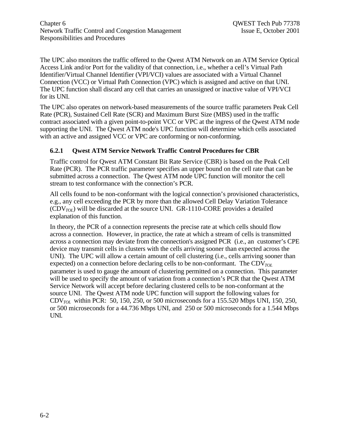The UPC also monitors the traffic offered to the Qwest ATM Network on an ATM Service Optical Access Link and/or Port for the validity of that connection, i.e., whether a cell's Virtual Path Identifier/Virtual Channel Identifier (VPI/VCI) values are associated with a Virtual Channel Connection (VCC) or Virtual Path Connection (VPC) which is assigned and active on that UNI. The UPC function shall discard any cell that carries an unassigned or inactive value of VPI/VCI for its UNI.

The UPC also operates on network-based measurements of the source traffic parameters Peak Cell Rate (PCR), Sustained Cell Rate (SCR) and Maximum Burst Size (MBS) used in the traffic contract associated with a given point-to-point VCC or VPC at the ingress of the Qwest ATM node supporting the UNI. The Qwest ATM node's UPC function will determine which cells associated with an active and assigned VCC or VPC are conforming or non-conforming.

## **6.2.1 Qwest ATM Service Network Traffic Control Procedures for CBR**

Traffic control for Qwest ATM Constant Bit Rate Service (CBR) is based on the Peak Cell Rate (PCR). The PCR traffic parameter specifies an upper bound on the cell rate that can be submitted across a connection. The Qwest ATM node UPC function will monitor the cell stream to test conformance with the connection's PCR.

All cells found to be non-conformant with the logical connection's provisioned characteristics, e.g., any cell exceeding the PCR by more than the allowed Cell Delay Variation Tolerance  $(CDV_{TOL})$  will be discarded at the source UNI. GR-1110-CORE provides a detailed explanation of this function.

In theory, the PCR of a connection represents the precise rate at which cells should flow across a connection. However, in practice, the rate at which a stream of cells is transmitted across a connection may deviate from the connection's assigned PCR (i.e., an customer's CPE device may transmit cells in clusters with the cells arriving sooner than expected across the UNI). The UPC will allow a certain amount of cell clustering (i.e., cells arriving sooner than expected) on a connection before declaring cells to be non-conformant. The CDV<sub>TOL</sub> parameter is used to gauge the amount of clustering permitted on a connection. This parameter will be used to specify the amount of variation from a connection's PCR that the Qwest ATM Service Network will accept before declaring clustered cells to be non-conformant at the source UNI. The Qwest ATM node UPC function will support the following values for CDV*TOL* within PCR: 50, 150, 250, or 500 microseconds for a 155.520 Mbps UNI, 150, 250, or 500 microseconds for a 44.736 Mbps UNI, and 250 or 500 microseconds for a 1.544 Mbps UNI.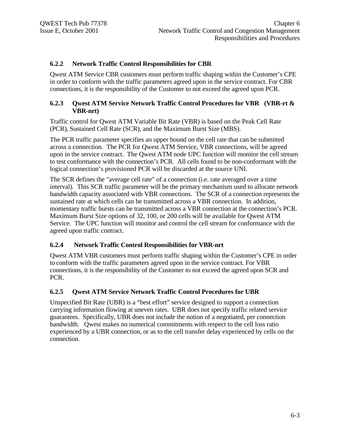#### **6.2.2 Network Traffic Control Responsibilities for CBR**

Qwest ATM Service CBR customers must perform traffic shaping within the Customer's CPE in order to conform with the traffic parameters agreed upon in the service contract. For CBR connections, it is the responsibility of the Customer to not exceed the agreed upon PCR.

#### **6.2.3 Qwest ATM Service Network Traffic Control Procedures for VBR (VBR-rt & VBR-nrt)**

Traffic control for Qwest ATM Variable Bit Rate (VBR) is based on the Peak Cell Rate (PCR), Sustained Cell Rate (SCR), and the Maximum Burst Size (MBS).

The PCR traffic parameter specifies an upper bound on the cell rate that can be submitted across a connection. The PCR for Qwest ATM Service, VBR connections, will be agreed upon in the service contract. The Qwest ATM node UPC function will monitor the cell stream to test conformance with the connection's PCR. All cells found to be non-conformant with the logical connection's provisioned PCR will be discarded at the source UNI.

The SCR defines the "average cell rate" of a connection (i.e. rate averaged over a time interval). This SCR traffic parameter will be the primary mechanism used to allocate network bandwidth capacity associated with VBR connections. The SCR of a connection represents the sustained rate at which cells can be transmitted across a VBR connection. In addition, momentary traffic bursts can be transmitted across a VBR connection at the connection's PCR. Maximum Burst Size options of 32, 100, or 200 cells will be available for Qwest ATM Service. The UPC function will monitor and control the cell stream for conformance with the agreed upon traffic contract.

## **6.2.4 Network Traffic Control Responsibilities for VBR-nrt**

Qwest ATM VBR customers must perform traffic shaping within the Customer's CPE in order to conform with the traffic parameters agreed upon in the service contract. For VBR connections, it is the responsibility of the Customer to not exceed the agreed upon SCR and PCR.

#### **6.2.5 Qwest ATM Service Network Traffic Control Procedures for UBR**

Unspecified Bit Rate (UBR) is a "best effort" service designed to support a connection carrying information flowing at uneven rates. UBR does not specify traffic related service guarantees. Specifically, UBR does not include the notion of a negotiated, per connection bandwidth. Qwest makes no numerical commitments with respect to the cell loss ratio experienced by a UBR connection, or as to the cell transfer delay experienced by cells on the connection.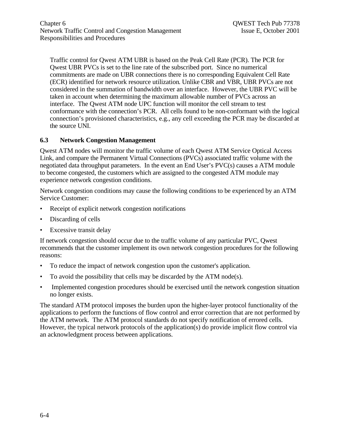Traffic control for Qwest ATM UBR is based on the Peak Cell Rate (PCR). The PCR for Qwest UBR PVCs is set to the line rate of the subscribed port. Since no numerical commitments are made on UBR connections there is no corresponding Equivalent Cell Rate (ECR) identified for network resource utilization. Unlike CBR and VBR, UBR PVCs are not considered in the summation of bandwidth over an interface. However, the UBR PVC will be taken in account when determining the maximum allowable number of PVCs across an interface. The Qwest ATM node UPC function will monitor the cell stream to test conformance with the connection's PCR. All cells found to be non-conformant with the logical connection's provisioned characteristics, e.g., any cell exceeding the PCR may be discarded at the source UNI.

## **6.3 Network Congestion Management**

Qwest ATM nodes will monitor the traffic volume of each Qwest ATM Service Optical Access Link, and compare the Permanent Virtual Connections (PVCs) associated traffic volume with the negotiated data throughput parameters. In the event an End User's PVC(s) causes a ATM module to become congested, the customers which are assigned to the congested ATM module may experience network congestion conditions.

Network congestion conditions may cause the following conditions to be experienced by an ATM Service Customer:

- Receipt of explicit network congestion notifications
- Discarding of cells
- **Excessive transit delay**

If network congestion should occur due to the traffic volume of any particular PVC, Qwest recommends that the customer implement its own network congestion procedures for the following reasons:

- To reduce the impact of network congestion upon the customer's application.
- To avoid the possibility that cells may be discarded by the ATM node(s).
- Implemented congestion procedures should be exercised until the network congestion situation no longer exists.

The standard ATM protocol imposes the burden upon the higher-layer protocol functionality of the applications to perform the functions of flow control and error correction that are not performed by the ATM network. The ATM protocol standards do not specify notification of errored cells. However, the typical network protocols of the application(s) do provide implicit flow control via an acknowledgment process between applications.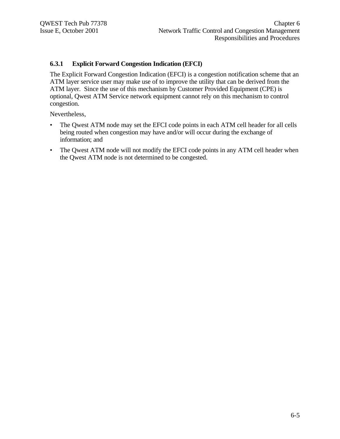#### **6.3.1 Explicit Forward Congestion Indication (EFCI)**

The Explicit Forward Congestion Indication (EFCI) is a congestion notification scheme that an ATM layer service user may make use of to improve the utility that can be derived from the ATM layer. Since the use of this mechanism by Customer Provided Equipment (CPE) is optional, Qwest ATM Service network equipment cannot rely on this mechanism to control congestion.

Nevertheless,

- The Qwest ATM node may set the EFCI code points in each ATM cell header for all cells being routed when congestion may have and/or will occur during the exchange of information; and
- The Qwest ATM node will not modify the EFCI code points in any ATM cell header when the Qwest ATM node is not determined to be congested.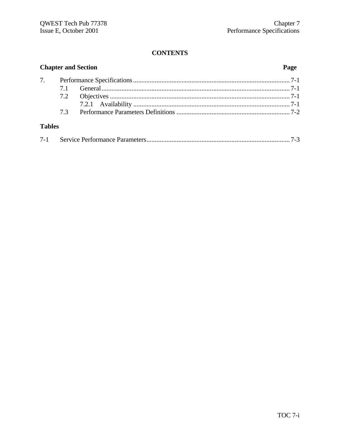## **CONTENTS**

| <b>Chapter and Section</b> |  |  |  |
|----------------------------|--|--|--|
|                            |  |  |  |
|                            |  |  |  |
|                            |  |  |  |
|                            |  |  |  |
|                            |  |  |  |
| <b>Tables</b>              |  |  |  |

| $7 - 1$ |  |  |  |
|---------|--|--|--|
|---------|--|--|--|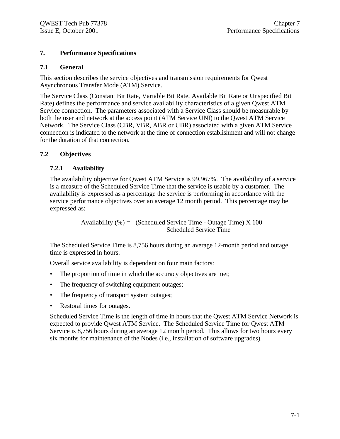## **7. Performance Specifications**

## **7.1 General**

This section describes the service objectives and transmission requirements for Qwest Asynchronous Transfer Mode (ATM) Service.

The Service Class (Constant Bit Rate, Variable Bit Rate, Available Bit Rate or Unspecified Bit Rate) defines the performance and service availability characteristics of a given Qwest ATM Service connection. The parameters associated with a Service Class should be measurable by both the user and network at the access point (ATM Service UNI) to the Qwest ATM Service Network. The Service Class (CBR, VBR, ABR or UBR) associated with a given ATM Service connection is indicated to the network at the time of connection establishment and will not change for the duration of that connection.

## **7.2 Objectives**

## **7.2.1 Availability**

The availability objective for Qwest ATM Service is 99.967%. The availability of a service is a measure of the Scheduled Service Time that the service is usable by a customer. The availability is expressed as a percentage the service is performing in accordance with the service performance objectives over an average 12 month period. This percentage may be expressed as:

> Availability  $% =$  (Scheduled Service Time - Outage Time) X 100 Scheduled Service Time

The Scheduled Service Time is 8,756 hours during an average 12-month period and outage time is expressed in hours.

Overall service availability is dependent on four main factors:

- The proportion of time in which the accuracy objectives are met;
- The frequency of switching equipment outages;
- The frequency of transport system outages;
- Restoral times for outages.

Scheduled Service Time is the length of time in hours that the Qwest ATM Service Network is expected to provide Qwest ATM Service. The Scheduled Service Time for Qwest ATM Service is 8,756 hours during an average 12 month period. This allows for two hours every six months for maintenance of the Nodes (i.e., installation of software upgrades).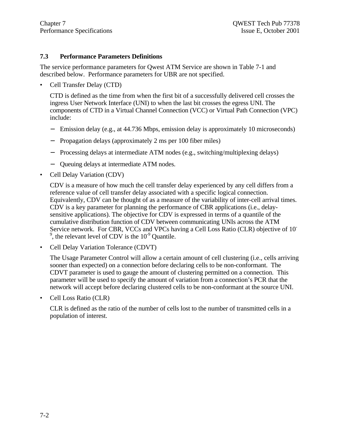#### **7.3 Performance Parameters Definitions**

The service performance parameters for Qwest ATM Service are shown in Table 7-1 and described below. Performance parameters for UBR are not specified.

• Cell Transfer Delay (CTD)

CTD is defined as the time from when the first bit of a successfully delivered cell crosses the ingress User Network Interface (UNI) to when the last bit crosses the egress UNI. The components of CTD in a Virtual Channel Connection (VCC) or Virtual Path Connection (VPC) include:

- − Emission delay (e.g., at 44.736 Mbps, emission delay is approximately 10 microseconds)
- − Propagation delays (approximately 2 ms per 100 fiber miles)
- − Processing delays at intermediate ATM nodes (e.g., switching/multiplexing delays)
- − Queuing delays at intermediate ATM nodes.
- Cell Delay Variation (CDV)

CDV is a measure of how much the cell transfer delay experienced by any cell differs from a reference value of cell transfer delay associated with a specific logical connection. Equivalently, CDV can be thought of as a measure of the variability of inter-cell arrival times. CDV is a key parameter for planning the performance of CBR applications (i.e., delaysensitive applications). The objective for CDV is expressed in terms of a quantile of the cumulative distribution function of CDV between communicating UNIs across the ATM Service network. For CBR, VCCs and VPCs having a Cell Loss Ratio (CLR) objective of 10- <sup>9</sup>, the relevant level of CDV is the  $10^{-9}$  Quantile.

• Cell Delay Variation Tolerance (CDVT)

The Usage Parameter Control will allow a certain amount of cell clustering (i.e., cells arriving sooner than expected) on a connection before declaring cells to be non-conformant. The CDVT parameter is used to gauge the amount of clustering permitted on a connection. This parameter will be used to specify the amount of variation from a connection's PCR that the network will accept before declaring clustered cells to be non-conformant at the source UNI.

• Cell Loss Ratio (CLR)

CLR is defined as the ratio of the number of cells lost to the number of transmitted cells in a population of interest.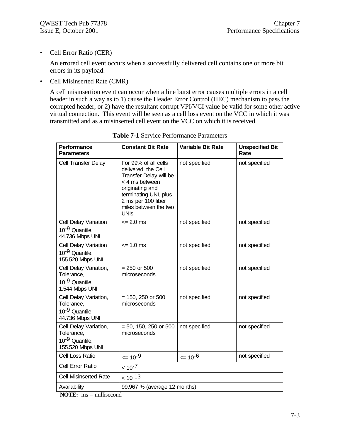• Cell Error Ratio (CER)

An errored cell event occurs when a successfully delivered cell contains one or more bit errors in its payload.

• Cell Misinserted Rate (CMR)

A cell misinsertion event can occur when a line burst error causes multiple errors in a cell header in such a way as to 1) cause the Header Error Control (HEC) mechanism to pass the corrupted header, or 2) have the resultant corrupt VPI/VCI value be valid for some other active virtual connection. This event will be seen as a cell loss event on the VCC in which it was transmitted and as a misinserted cell event on the VCC on which it is received.

| <b>Performance</b><br><b>Parameters</b>                                               | <b>Constant Bit Rate</b>                                                                                                                                                                                 | <b>Variable Bit Rate</b> | <b>Unspecified Bit</b><br>Rate |
|---------------------------------------------------------------------------------------|----------------------------------------------------------------------------------------------------------------------------------------------------------------------------------------------------------|--------------------------|--------------------------------|
| <b>Cell Transfer Delay</b>                                                            | For 99% of all cells<br>delivered, the Cell<br>Transfer Delay will be<br>< 4 ms between<br>originating and<br>terminating UNI, plus<br>2 ms per 100 fiber<br>miles between the two<br>UNI <sub>S</sub> . | not specified            | not specified                  |
| <b>Cell Delay Variation</b><br>10 <sup>-9</sup> Quantile,<br>44.736 Mbps UNI          | $\leq$ 2.0 ms                                                                                                                                                                                            | not specified            | not specified                  |
| <b>Cell Delay Variation</b><br>10 <sup>-9</sup> Quantile,<br>155.520 Mbps UNI         | $= 1.0$ ms                                                                                                                                                                                               | not specified            | not specified                  |
| Cell Delay Variation,<br>Tolerance,<br>10 <sup>-9</sup> Quantile,<br>1.544 Mbps UNI   | $= 250$ or 500<br>microseconds                                                                                                                                                                           | not specified            | not specified                  |
| Cell Delay Variation,<br>Tolerance,<br>10 <sup>-9</sup> Quantile,<br>44.736 Mbps UNI  | $= 150, 250$ or 500<br>microseconds                                                                                                                                                                      | not specified            | not specified                  |
| Cell Delay Variation,<br>Tolerance,<br>10 <sup>-9</sup> Quantile,<br>155.520 Mbps UNI | $= 50, 150, 250$ or 500<br>microseconds                                                                                                                                                                  | not specified            | not specified                  |
| Cell Loss Ratio                                                                       | $\leq 10^{-9}$                                                                                                                                                                                           | $= 10^{-6}$              | not specified                  |
| Cell Error Ratio                                                                      | $< 10^{-7}$                                                                                                                                                                                              |                          |                                |
| <b>Cell Misinserted Rate</b>                                                          | $10^{-13}$                                                                                                                                                                                               |                          |                                |
| Availability                                                                          | 99.967 % (average 12 months)                                                                                                                                                                             |                          |                                |

**Table 7-1** Service Performance Parameters

**NOTE:** ms = millisecond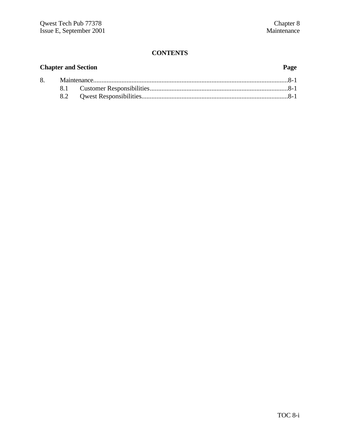## **CONTENTS**

| <b>Chapter and Section</b> |  | Page |  |
|----------------------------|--|------|--|
|                            |  |      |  |
|                            |  |      |  |
|                            |  |      |  |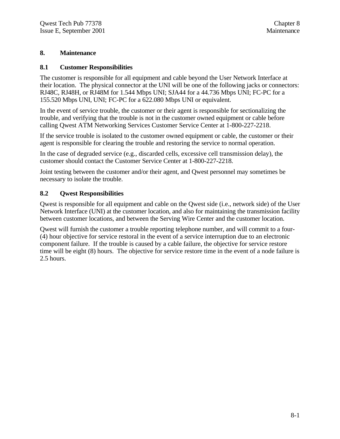#### **8. Maintenance**

#### **8.1 Customer Responsibilities**

The customer is responsible for all equipment and cable beyond the User Network Interface at their location. The physical connector at the UNI will be one of the following jacks or connectors: RJ48C, RJ48H, or RJ48M for 1.544 Mbps UNI; SJA44 for a 44.736 Mbps UNI; FC-PC for a 155.520 Mbps UNI, UNI; FC-PC for a 622.080 Mbps UNI or equivalent.

In the event of service trouble, the customer or their agent is responsible for sectionalizing the trouble, and verifying that the trouble is not in the customer owned equipment or cable before calling Qwest ATM Networking Services Customer Service Center at 1-800-227-2218.

If the service trouble is isolated to the customer owned equipment or cable, the customer or their agent is responsible for clearing the trouble and restoring the service to normal operation.

In the case of degraded service (e.g., discarded cells, excessive cell transmission delay), the customer should contact the Customer Service Center at 1-800-227-2218.

Joint testing between the customer and/or their agent, and Qwest personnel may sometimes be necessary to isolate the trouble.

#### **8.2 Qwest Responsibilities**

Qwest is responsible for all equipment and cable on the Qwest side (i.e., network side) of the User Network Interface (UNI) at the customer location, and also for maintaining the transmission facility between customer locations, and between the Serving Wire Center and the customer location.

Qwest will furnish the customer a trouble reporting telephone number, and will commit to a four- (4) hour objective for service restoral in the event of a service interruption due to an electronic component failure. If the trouble is caused by a cable failure, the objective for service restore time will be eight (8) hours. The objective for service restore time in the event of a node failure is 2.5 hours.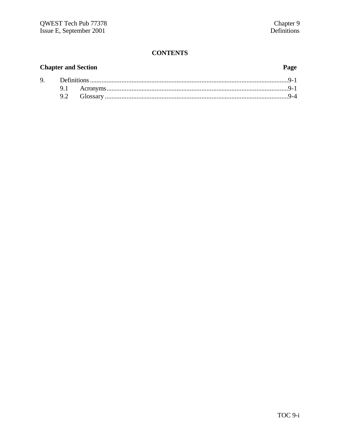## **CONTENTS**

## **Chapter and Section** 9.

## Page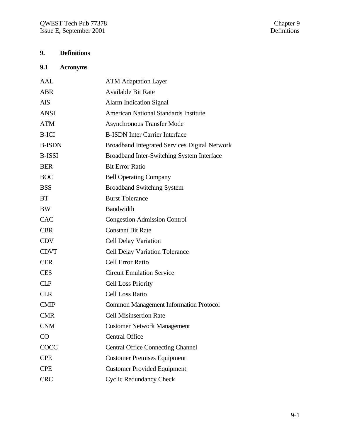## **9. Definitions**

## **9.1 Acronyms**

| AAL           | <b>ATM Adaptation Layer</b>                          |
|---------------|------------------------------------------------------|
| <b>ABR</b>    | <b>Available Bit Rate</b>                            |
| <b>AIS</b>    | <b>Alarm Indication Signal</b>                       |
| <b>ANSI</b>   | <b>American National Standards Institute</b>         |
| <b>ATM</b>    | <b>Asynchronous Transfer Mode</b>                    |
| <b>B-ICI</b>  | <b>B-ISDN Inter Carrier Interface</b>                |
| <b>B-ISDN</b> | <b>Broadband Integrated Services Digital Network</b> |
| <b>B-ISSI</b> | Broadband Inter-Switching System Interface           |
| <b>BER</b>    | <b>Bit Error Ratio</b>                               |
| <b>BOC</b>    | <b>Bell Operating Company</b>                        |
| <b>BSS</b>    | <b>Broadband Switching System</b>                    |
| <b>BT</b>     | <b>Burst Tolerance</b>                               |
| <b>BW</b>     | <b>Bandwidth</b>                                     |
| <b>CAC</b>    | <b>Congestion Admission Control</b>                  |
| <b>CBR</b>    | <b>Constant Bit Rate</b>                             |
| <b>CDV</b>    | <b>Cell Delay Variation</b>                          |
| <b>CDVT</b>   | <b>Cell Delay Variation Tolerance</b>                |
| <b>CER</b>    | Cell Error Ratio                                     |
| <b>CES</b>    | <b>Circuit Emulation Service</b>                     |
| <b>CLP</b>    | <b>Cell Loss Priority</b>                            |
| <b>CLR</b>    | <b>Cell Loss Ratio</b>                               |
| <b>CMIP</b>   | <b>Common Management Information Protocol</b>        |
| <b>CMR</b>    | <b>Cell Misinsertion Rate</b>                        |
| CNM           | <b>Customer Network Management</b>                   |
| CO            | <b>Central Office</b>                                |
| COCC          | <b>Central Office Connecting Channel</b>             |
| <b>CPE</b>    | <b>Customer Premises Equipment</b>                   |
| <b>CPE</b>    | <b>Customer Provided Equipment</b>                   |
| <b>CRC</b>    | <b>Cyclic Redundancy Check</b>                       |
|               |                                                      |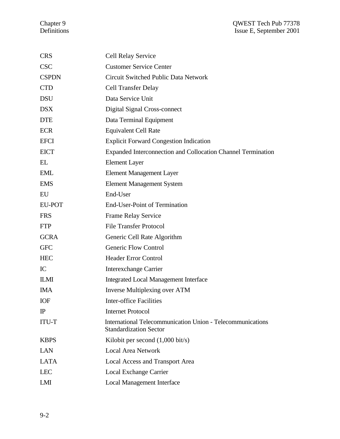| <b>CRS</b>    | <b>Cell Relay Service</b>                                                                   |
|---------------|---------------------------------------------------------------------------------------------|
| <b>CSC</b>    | <b>Customer Service Center</b>                                                              |
| <b>CSPDN</b>  | Circuit Switched Public Data Network                                                        |
| <b>CTD</b>    | <b>Cell Transfer Delay</b>                                                                  |
| <b>DSU</b>    | Data Service Unit                                                                           |
| <b>DSX</b>    | Digital Signal Cross-connect                                                                |
| <b>DTE</b>    | Data Terminal Equipment                                                                     |
| <b>ECR</b>    | <b>Equivalent Cell Rate</b>                                                                 |
| <b>EFCI</b>   | <b>Explicit Forward Congestion Indication</b>                                               |
| <b>EICT</b>   | <b>Expanded Interconnection and Collocation Channel Termination</b>                         |
| EL            | <b>Element Layer</b>                                                                        |
| <b>EML</b>    | <b>Element Management Layer</b>                                                             |
| <b>EMS</b>    | <b>Element Management System</b>                                                            |
| EU            | End-User                                                                                    |
| <b>EU-POT</b> | <b>End-User-Point of Termination</b>                                                        |
| <b>FRS</b>    | <b>Frame Relay Service</b>                                                                  |
| <b>FTP</b>    | <b>File Transfer Protocol</b>                                                               |
| <b>GCRA</b>   | Generic Cell Rate Algorithm                                                                 |
| <b>GFC</b>    | <b>Generic Flow Control</b>                                                                 |
| <b>HEC</b>    | <b>Header Error Control</b>                                                                 |
| IC            | <b>Interexchange Carrier</b>                                                                |
| <b>ILMI</b>   | <b>Integrated Local Management Interface</b>                                                |
| <b>IMA</b>    | Inverse Multiplexing over ATM                                                               |
| IOF           | Inter-office Facilities                                                                     |
| $\mathbb{P}$  | <b>Internet Protocol</b>                                                                    |
| <b>ITU-T</b>  | International Telecommunication Union - Telecommunications<br><b>Standardization Sector</b> |
| <b>KBPS</b>   | Kilobit per second $(1,000 \text{ bit/s})$                                                  |
| <b>LAN</b>    | <b>Local Area Network</b>                                                                   |
| <b>LATA</b>   | <b>Local Access and Transport Area</b>                                                      |
| <b>LEC</b>    | <b>Local Exchange Carrier</b>                                                               |
| LMI           | <b>Local Management Interface</b>                                                           |
|               |                                                                                             |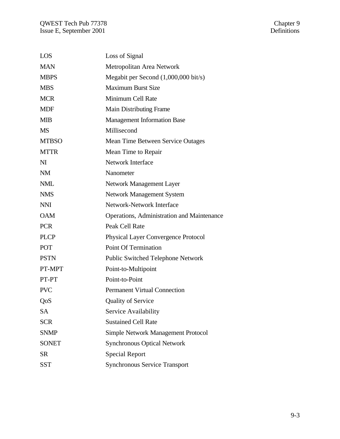| LOS            | Loss of Signal                                    |
|----------------|---------------------------------------------------|
| <b>MAN</b>     | Metropolitan Area Network                         |
| <b>MBPS</b>    | Megabit per Second (1,000,000 bit/s)              |
| <b>MBS</b>     | <b>Maximum Burst Size</b>                         |
| <b>MCR</b>     | Minimum Cell Rate                                 |
| <b>MDF</b>     | <b>Main Distributing Frame</b>                    |
| <b>MIB</b>     | <b>Management Information Base</b>                |
| <b>MS</b>      | Millisecond                                       |
| <b>MTBSO</b>   | Mean Time Between Service Outages                 |
| <b>MTTR</b>    | Mean Time to Repair                               |
| N <sub>I</sub> | <b>Network Interface</b>                          |
| <b>NM</b>      | Nanometer                                         |
| <b>NML</b>     | Network Management Layer                          |
| <b>NMS</b>     | <b>Network Management System</b>                  |
| <b>NNI</b>     | Network-Network Interface                         |
| <b>OAM</b>     | <b>Operations, Administration and Maintenance</b> |
| <b>PCR</b>     | Peak Cell Rate                                    |
| <b>PLCP</b>    | <b>Physical Layer Convergence Protocol</b>        |
| <b>POT</b>     | <b>Point Of Termination</b>                       |
| <b>PSTN</b>    | <b>Public Switched Telephone Network</b>          |
| PT-MPT         | Point-to-Multipoint                               |
| PT-PT          | Point-to-Point                                    |
| <b>PVC</b>     | <b>Permanent Virtual Connection</b>               |
| QoS            | <b>Quality of Service</b>                         |
| <b>SA</b>      | Service Availability                              |
| <b>SCR</b>     | <b>Sustained Cell Rate</b>                        |
| <b>SNMP</b>    | Simple Network Management Protocol                |
| <b>SONET</b>   | <b>Synchronous Optical Network</b>                |
| <b>SR</b>      | <b>Special Report</b>                             |
| <b>SST</b>     | Synchronous Service Transport                     |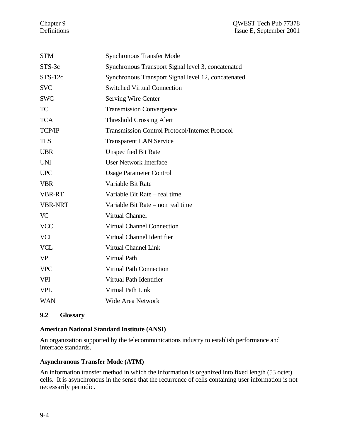| <b>STM</b>     | <b>Synchronous Transfer Mode</b>                       |
|----------------|--------------------------------------------------------|
| STS-3c         | Synchronous Transport Signal level 3, concatenated     |
| $STS-12c$      | Synchronous Transport Signal level 12, concatenated    |
| <b>SVC</b>     | <b>Switched Virtual Connection</b>                     |
| <b>SWC</b>     | <b>Serving Wire Center</b>                             |
| <b>TC</b>      | <b>Transmission Convergence</b>                        |
| <b>TCA</b>     | <b>Threshold Crossing Alert</b>                        |
| TCP/IP         | <b>Transmission Control Protocol/Internet Protocol</b> |
| <b>TLS</b>     | <b>Transparent LAN Service</b>                         |
| <b>UBR</b>     | <b>Unspecified Bit Rate</b>                            |
| <b>UNI</b>     | <b>User Network Interface</b>                          |
| <b>UPC</b>     | <b>Usage Parameter Control</b>                         |
| <b>VBR</b>     | Variable Bit Rate                                      |
| <b>VBR-RT</b>  | Variable Bit Rate – real time                          |
| <b>VBR-NRT</b> | Variable Bit Rate – non real time                      |
| <b>VC</b>      | <b>Virtual Channel</b>                                 |
| <b>VCC</b>     | <b>Virtual Channel Connection</b>                      |
| <b>VCI</b>     | Virtual Channel Identifier                             |
| <b>VCL</b>     | Virtual Channel Link                                   |
| <b>VP</b>      | Virtual Path                                           |
| <b>VPC</b>     | <b>Virtual Path Connection</b>                         |
| <b>VPI</b>     | Virtual Path Identifier                                |
| <b>VPL</b>     | Virtual Path Link                                      |
| <b>WAN</b>     | <b>Wide Area Network</b>                               |

# **9.2 Glossary**

## **American National Standard Institute (ANSI)**

An organization supported by the telecommunications industry to establish performance and interface standards.

## **Asynchronous Transfer Mode (ATM)**

An information transfer method in which the information is organized into fixed length (53 octet) cells. It is asynchronous in the sense that the recurrence of cells containing user information is not necessarily periodic.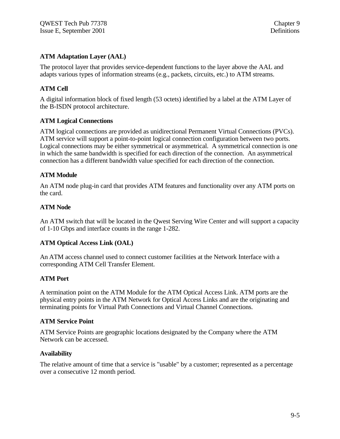# **ATM Adaptation Layer (AAL)**

The protocol layer that provides service-dependent functions to the layer above the AAL and adapts various types of information streams (e.g., packets, circuits, etc.) to ATM streams.

# **ATM Cell**

A digital information block of fixed length (53 octets) identified by a label at the ATM Layer of the B-ISDN protocol architecture.

## **ATM Logical Connections**

ATM logical connections are provided as unidirectional Permanent Virtual Connections (PVCs). ATM service will support a point-to-point logical connection configuration between two ports. Logical connections may be either symmetrical or asymmetrical. A symmetrical connection is one in which the same bandwidth is specified for each direction of the connection. An asymmetrical connection has a different bandwidth value specified for each direction of the connection.

## **ATM Module**

An ATM node plug-in card that provides ATM features and functionality over any ATM ports on the card.

## **ATM Node**

An ATM switch that will be located in the Qwest Serving Wire Center and will support a capacity of 1-10 Gbps and interface counts in the range 1-282.

#### **ATM Optical Access Link (OAL)**

An ATM access channel used to connect customer facilities at the Network Interface with a corresponding ATM Cell Transfer Element.

#### **ATM Port**

A termination point on the ATM Module for the ATM Optical Access Link. ATM ports are the physical entry points in the ATM Network for Optical Access Links and are the originating and terminating points for Virtual Path Connections and Virtual Channel Connections.

#### **ATM Service Point**

ATM Service Points are geographic locations designated by the Company where the ATM Network can be accessed.

#### **Availability**

The relative amount of time that a service is "usable" by a customer; represented as a percentage over a consecutive 12 month period.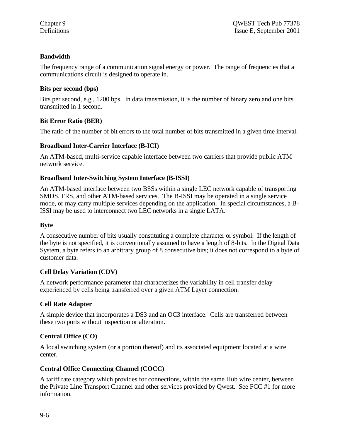## **Bandwidth**

The frequency range of a communication signal energy or power. The range of frequencies that a communications circuit is designed to operate in.

## **Bits per second (bps)**

Bits per second, e.g., 1200 bps. In data transmission, it is the number of binary zero and one bits transmitted in 1 second.

# **Bit Error Ratio (BER)**

The ratio of the number of bit errors to the total number of bits transmitted in a given time interval.

## **Broadband Inter-Carrier Interface (B-ICI)**

An ATM-based, multi-service capable interface between two carriers that provide public ATM network service.

# **Broadband Inter-Switching System Interface (B-ISSI)**

An ATM-based interface between two BSSs within a single LEC network capable of transporting SMDS, FRS, and other ATM-based services. The B-ISSI may be operated in a single service mode, or may carry multiple services depending on the application. In special circumstances, a B-ISSI may be used to interconnect two LEC networks in a single LATA.

## **Byte**

A consecutive number of bits usually constituting a complete character or symbol. If the length of the byte is not specified, it is conventionally assumed to have a length of 8-bits. In the Digital Data System, a byte refers to an arbitrary group of 8 consecutive bits; it does not correspond to a byte of customer data.

## **Cell Delay Variation (CDV)**

A network performance parameter that characterizes the variability in cell transfer delay experienced by cells being transferred over a given ATM Layer connection.

# **Cell Rate Adapter**

A simple device that incorporates a DS3 and an OC3 interface. Cells are transferred between these two ports without inspection or alteration.

# **Central Office (CO)**

A local switching system (or a portion thereof) and its associated equipment located at a wire center.

# **Central Office Connecting Channel (COCC)**

A tariff rate category which provides for connections, within the same Hub wire center, between the Private Line Transport Channel and other services provided by Qwest. See FCC #1 for more information.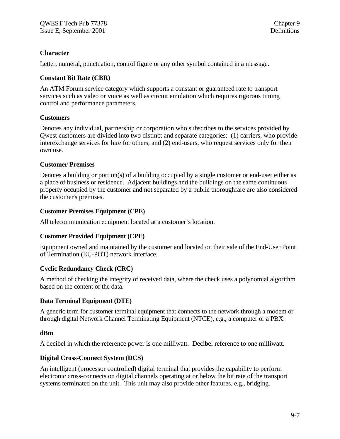## **Character**

Letter, numeral, punctuation, control figure or any other symbol contained in a message.

## **Constant Bit Rate (CBR)**

An ATM Forum service category which supports a constant or guaranteed rate to transport services such as video or voice as well as circuit emulation which requires rigorous timing control and performance parameters.

# **Customers**

Denotes any individual, partnership or corporation who subscribes to the services provided by Qwest customers are divided into two distinct and separate categories: (1) carriers, who provide interexchange services for hire for others, and (2) end-users, who request services only for their own use.

# **Customer Premises**

Denotes a building or portion(s) of a building occupied by a single customer or end-user either as a place of business or residence. Adjacent buildings and the buildings on the same continuous property occupied by the customer and not separated by a public thoroughfare are also considered the customer's premises.

# **Customer Premises Equipment (CPE)**

All telecommunication equipment located at a customer's location.

# **Customer Provided Equipment (CPE)**

Equipment owned and maintained by the customer and located on their side of the End-User Point of Termination (EU-POT) network interface.

# **Cyclic Redundancy Check (CRC)**

A method of checking the integrity of received data, where the check uses a polynomial algorithm based on the content of the data.

## **Data Terminal Equipment (DTE)**

A generic term for customer terminal equipment that connects to the network through a modem or through digital Network Channel Terminating Equipment (NTCE), e.g., a computer or a PBX.

## **dBm**

A decibel in which the reference power is one milliwatt. Decibel reference to one milliwatt.

# **Digital Cross-Connect System (DCS)**

An intelligent (processor controlled) digital terminal that provides the capability to perform electronic cross-connects on digital channels operating at or below the bit rate of the transport systems terminated on the unit. This unit may also provide other features, e.g., bridging.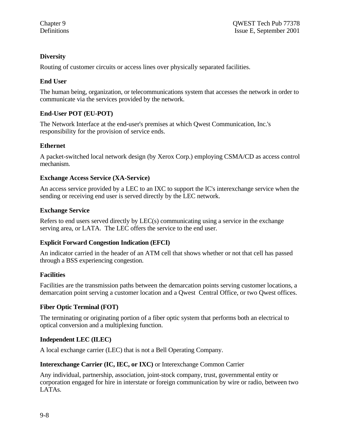# **Diversity**

Routing of customer circuits or access lines over physically separated facilities.

# **End User**

The human being, organization, or telecommunications system that accesses the network in order to communicate via the services provided by the network.

# **End-User POT (EU-POT)**

The Network Interface at the end-user's premises at which Qwest Communication, Inc.'s responsibility for the provision of service ends.

## **Ethernet**

A packet-switched local network design (by Xerox Corp.) employing CSMA/CD as access control mechanism.

## **Exchange Access Service (XA-Service)**

An access service provided by a LEC to an IXC to support the IC's interexchange service when the sending or receiving end user is served directly by the LEC network.

#### **Exchange Service**

Refers to end users served directly by LEC(s) communicating using a service in the exchange serving area, or LATA. The LEC offers the service to the end user.

## **Explicit Forward Congestion Indication (EFCI)**

An indicator carried in the header of an ATM cell that shows whether or not that cell has passed through a BSS experiencing congestion.

## **Facilities**

Facilities are the transmission paths between the demarcation points serving customer locations, a demarcation point serving a customer location and a Qwest Central Office, or two Qwest offices.

## **Fiber Optic Terminal (FOT)**

The terminating or originating portion of a fiber optic system that performs both an electrical to optical conversion and a multiplexing function.

## **Independent LEC (ILEC)**

A local exchange carrier (LEC) that is not a Bell Operating Company.

## **Interexchange Carrier (IC, IEC, or IXC)** or Interexchange Common Carrier

Any individual, partnership, association, joint-stock company, trust, governmental entity or corporation engaged for hire in interstate or foreign communication by wire or radio, between two LATAs.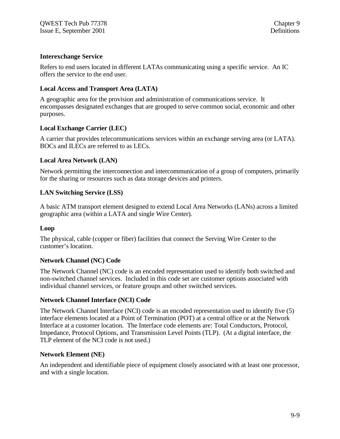## **Interexchange Service**

Refers to end users located in different LATAs communicating using a specific service. An IC offers the service to the end user.

#### **Local Access and Transport Area (LATA)**

A geographic area for the provision and administration of communications service. It encompasses designated exchanges that are grouped to serve common social, economic and other purposes.

#### **Local Exchange Carrier (LEC)**

A carrier that provides telecommunications services within an exchange serving area (or LATA). BOCs and ILECs are referred to as LECs.

#### **Local Area Network (LAN)**

Network permitting the interconnection and intercommunication of a group of computers, primarily for the sharing or resources such as data storage devices and printers.

#### **LAN Switching Service (LSS)**

A basic ATM transport element designed to extend Local Area Networks (LANs) across a limited geographic area (within a LATA and single Wire Center).

#### **Loop**

The physical, cable (copper or fiber) facilities that connect the Serving Wire Center to the customer's location.

#### **Network Channel (NC) Code**

The Network Channel (NC) code is an encoded representation used to identify both switched and non-switched channel services. Included in this code set are customer options associated with individual channel services, or feature groups and other switched services.

#### **Network Channel Interface (NCI) Code**

The Network Channel Interface (NCI) code is an encoded representation used to identify five (5) interface elements located at a Point of Termination (POT) at a central office or at the Network Interface at a customer location. The Interface code elements are: Total Conductors, Protocol, Impedance, Protocol Options, and Transmission Level Points (TLP). (At a digital interface, the TLP element of the NCI code is not used.)

#### **Network Element (NE)**

An independent and identifiable piece of equipment closely associated with at least one processor, and with a single location.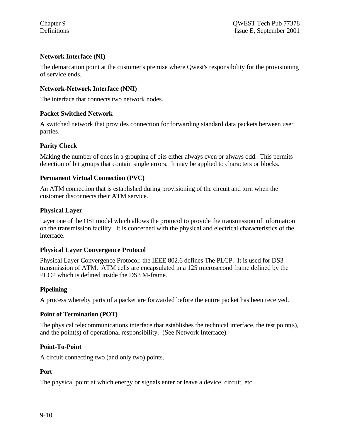## **Network Interface (NI)**

The demarcation point at the customer's premise where Qwest's responsibility for the provisioning of service ends.

## **Network-Network Interface (NNI)**

The interface that connects two network nodes.

#### **Packet Switched Network**

A switched network that provides connection for forwarding standard data packets between user parties.

#### **Parity Check**

Making the number of ones in a grouping of bits either always even or always odd. This permits detection of bit groups that contain single errors. It may be applied to characters or blocks.

## **Permanent Virtual Connection (PVC)**

An ATM connection that is established during provisioning of the circuit and torn when the customer disconnects their ATM service.

#### **Physical Layer**

Layer one of the OSI model which allows the protocol to provide the transmission of information on the transmission facility. It is concerned with the physical and electrical characteristics of the interface.

## **Physical Layer Convergence Protocol**

Physical Layer Convergence Protocol: the IEEE 802.6 defines The PLCP. It is used for DS3 transmission of ATM. ATM cells are encapsulated in a 125 microsecond frame defined by the PLCP which is defined inside the DS3 M-frame.

## **Pipelining**

A process whereby parts of a packet are forwarded before the entire packet has been received.

## **Point of Termination (POT)**

The physical telecommunications interface that establishes the technical interface, the test point(s), and the point(s) of operational responsibility. (See Network Interface).

## **Point-To-Point**

A circuit connecting two (and only two) points.

## **Port**

The physical point at which energy or signals enter or leave a device, circuit, etc.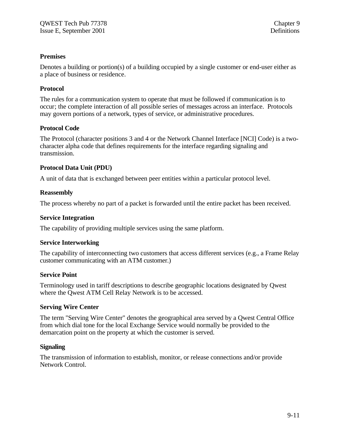## **Premises**

Denotes a building or portion(s) of a building occupied by a single customer or end-user either as a place of business or residence.

#### **Protocol**

The rules for a communication system to operate that must be followed if communication is to occur; the complete interaction of all possible series of messages across an interface. Protocols may govern portions of a network, types of service, or administrative procedures.

#### **Protocol Code**

The Protocol (character positions 3 and 4 or the Network Channel Interface [NCI] Code) is a twocharacter alpha code that defines requirements for the interface regarding signaling and transmission.

#### **Protocol Data Unit (PDU)**

A unit of data that is exchanged between peer entities within a particular protocol level.

#### **Reassembly**

The process whereby no part of a packet is forwarded until the entire packet has been received.

#### **Service Integration**

The capability of providing multiple services using the same platform.

#### **Service Interworking**

The capability of interconnecting two customers that access different services (e.g., a Frame Relay customer communicating with an ATM customer.)

#### **Service Point**

Terminology used in tariff descriptions to describe geographic locations designated by Qwest where the Qwest ATM Cell Relay Network is to be accessed.

#### **Serving Wire Center**

The term "Serving Wire Center" denotes the geographical area served by a Qwest Central Office from which dial tone for the local Exchange Service would normally be provided to the demarcation point on the property at which the customer is served.

#### **Signaling**

The transmission of information to establish, monitor, or release connections and/or provide Network Control.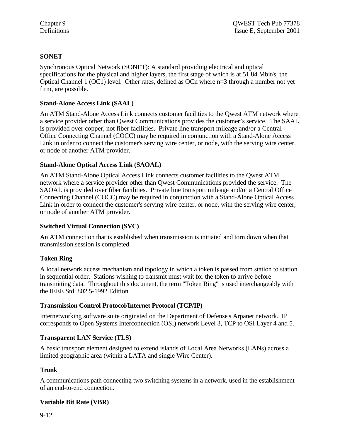# **SONET**

Synchronous Optical Network (SONET): A standard providing electrical and optical specifications for the physical and higher layers, the first stage of which is at 51.84 Mbit/s, the Optical Channel 1 (OC1) level. Other rates, defined as OCn where n=3 through a number not yet firm, are possible.

## **Stand-Alone Access Link (SAAL)**

An ATM Stand-Alone Access Link connects customer facilities to the Qwest ATM network where a service provider other than Qwest Communications provides the customer's service. The SAAL is provided over copper, not fiber facilities. Private line transport mileage and/or a Central Office Connecting Channel (COCC) may be required in conjunction with a Stand-Alone Access Link in order to connect the customer's serving wire center, or node, with the serving wire center, or node of another ATM provider.

# **Stand-Alone Optical Access Link (SAOAL)**

An ATM Stand-Alone Optical Access Link connects customer facilities to the Qwest ATM network where a service provider other than Qwest Communications provided the service. The SAOAL is provided over fiber facilities. Private line transport mileage and/or a Central Office Connecting Channel (COCC) may be required in conjunction with a Stand-Alone Optical Access Link in order to connect the customer's serving wire center, or node, with the serving wire center, or node of another ATM provider.

## **Switched Virtual Connection (SVC)**

An ATM connection that is established when transmission is initiated and torn down when that transmission session is completed.

## **Token Ring**

A local network access mechanism and topology in which a token is passed from station to station in sequential order. Stations wishing to transmit must wait for the token to arrive before transmitting data. Throughout this document, the term "Token Ring" is used interchangeably with the IEEE Std. 802.5-1992 Edition.

## **Transmission Control Protocol/Internet Protocol (TCP/IP)**

Internetworking software suite originated on the Department of Defense's Arpanet network. IP corresponds to Open Systems Interconnection (OSI) network Level 3, TCP to OSI Layer 4 and 5.

# **Transparent LAN Service (TLS)**

A basic transport element designed to extend islands of Local Area Networks (LANs) across a limited geographic area (within a LATA and single Wire Center).

## **Trunk**

A communications path connecting two switching systems in a network, used in the establishment of an end-to-end connection.

# **Variable Bit Rate (VBR)**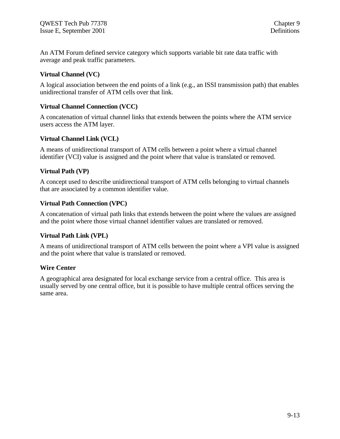An ATM Forum defined service category which supports variable bit rate data traffic with average and peak traffic parameters.

#### **Virtual Channel (VC)**

A logical association between the end points of a link (e.g., an ISSI transmission path) that enables unidirectional transfer of ATM cells over that link.

#### **Virtual Channel Connection (VCC)**

A concatenation of virtual channel links that extends between the points where the ATM service users access the ATM layer.

#### **Virtual Channel Link (VCL)**

A means of unidirectional transport of ATM cells between a point where a virtual channel identifier (VCI) value is assigned and the point where that value is translated or removed.

#### **Virtual Path (VP)**

A concept used to describe unidirectional transport of ATM cells belonging to virtual channels that are associated by a common identifier value.

#### **Virtual Path Connection (VPC)**

A concatenation of virtual path links that extends between the point where the values are assigned and the point where those virtual channel identifier values are translated or removed.

## **Virtual Path Link (VPL)**

A means of unidirectional transport of ATM cells between the point where a VPI value is assigned and the point where that value is translated or removed.

#### **Wire Center**

A geographical area designated for local exchange service from a central office. This area is usually served by one central office, but it is possible to have multiple central offices serving the same area.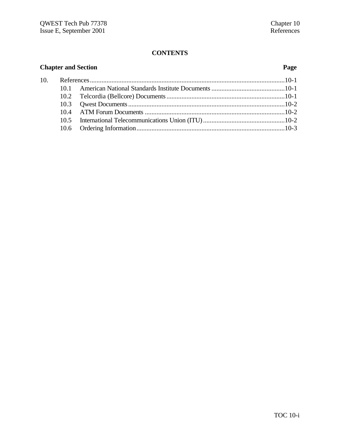# **CONTENTS**

| <b>Chapter and Section</b> |  | Page |  |
|----------------------------|--|------|--|
| 10.                        |  |      |  |
|                            |  |      |  |
|                            |  |      |  |
|                            |  |      |  |
|                            |  |      |  |
|                            |  |      |  |
|                            |  |      |  |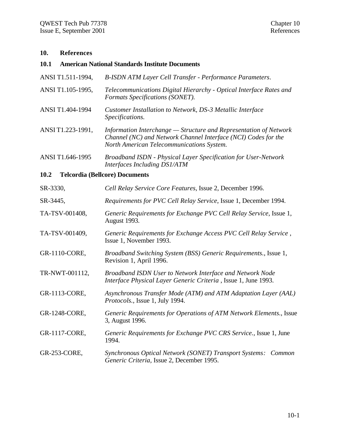#### **10. References**

#### **10.1 American National Standards Institute Documents**

| ANSI T1.511-1994, | B-ISDN ATM Layer Cell Transfer - Performance Parameters. |  |  |  |  |
|-------------------|----------------------------------------------------------|--|--|--|--|
|-------------------|----------------------------------------------------------|--|--|--|--|

- ANSI T1.105-1995, *Telecommunications Digital Hierarchy Optical Interface Rates and Formats Specifications (SONET).*
- ANSI T1.404-1994 *Customer Installation to Network, DS-3 Metallic Interface Specifications.*
- ANSI T1.223-1991, *Information Interchange Structure and Representation of Network Channel (NC) and Network Channel Interface (NCI) Codes for the North American Telecommunications System.*
- ANSI T1.646-1995 *Broadband ISDN Physical Layer Specification for User-Network Interfaces Including DS1/ATM*

#### **10.2 Telcordia (Bellcore) Documents**

| SR-3330,       | Cell Relay Service Core Features, Issue 2, December 1996.                                                                   |
|----------------|-----------------------------------------------------------------------------------------------------------------------------|
| SR-3445,       | Requirements for PVC Cell Relay Service, Issue 1, December 1994.                                                            |
| TA-TSV-001408, | Generic Requirements for Exchange PVC Cell Relay Service, Issue 1,<br><b>August</b> 1993.                                   |
| TA-TSV-001409, | Generic Requirements for Exchange Access PVC Cell Relay Service,<br>Issue 1, November 1993.                                 |
| GR-1110-CORE,  | Broadband Switching System (BSS) Generic Requirements., Issue 1,<br>Revision 1, April 1996.                                 |
| TR-NWT-001112, | Broadband ISDN User to Network Interface and Network Node<br>Interface Physical Layer Generic Criteria, Issue 1, June 1993. |
| GR-1113-CORE,  | Asynchronous Transfer Mode (ATM) and ATM Adaptation Layer (AAL)<br><i>Protocols.</i> , Issue 1, July 1994.                  |
| GR-1248-CORE,  | Generic Requirements for Operations of ATM Network Elements., Issue<br>3, August 1996.                                      |
| GR-1117-CORE,  | Generic Requirements for Exchange PVC CRS Service., Issue 1, June<br>1994.                                                  |
| GR-253-CORE,   | Synchronous Optical Network (SONET) Transport Systems: Common<br>Generic Criteria, Issue 2, December 1995.                  |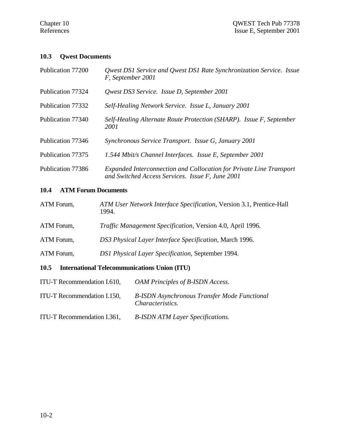#### **10.3 Qwest Documents**

| Publication 77200 | Qwest DS1 Service and Qwest DS1 Rate Synchronization Service. Issue<br>F, September 2001                                |
|-------------------|-------------------------------------------------------------------------------------------------------------------------|
| Publication 77324 | Qwest DS3 Service. Issue D, September 2001                                                                              |
| Publication 77332 | Self-Healing Network Service. Issue L, January 2001                                                                     |
| Publication 77340 | Self-Healing Alternate Route Protection (SHARP). Issue F, September<br>2001                                             |
| Publication 77346 | Synchronous Service Transport. Issue G, January 2001                                                                    |
| Publication 77375 | 1.544 Mbit/s Channel Interfaces. Issue E, September 2001                                                                |
| Publication 77386 | Expanded Interconnection and Collocation for Private Line Transport<br>and Switched Access Services. Issue F, June 2001 |

# **10.4 ATM Forum Documents**

- ATM Forum, *ATM User Network Interface Specification*, Version 3.1, Prentice-Hall 1994. ATM Forum, *Traffic Management Specification*, Version 4.0, April 1996. ATM Forum, *DS3 Physical Layer Interface Specification*, March 1996.
- ATM Forum, *DS1 Physical Layer Specification*, September 1994.

# **10.5 International Telecommunications Union (ITU)**

| ITU-T Recommendation I.610, | OAM Principles of B-ISDN Access.                                               |
|-----------------------------|--------------------------------------------------------------------------------|
| ITU-T Recommendation I.150, | <b>B-ISDN</b> Asynchronous Transfer Mode Functional<br><i>Characteristics.</i> |
| ITU-T Recommendation I.361, | <b>B-ISDN ATM Layer Specifications.</b>                                        |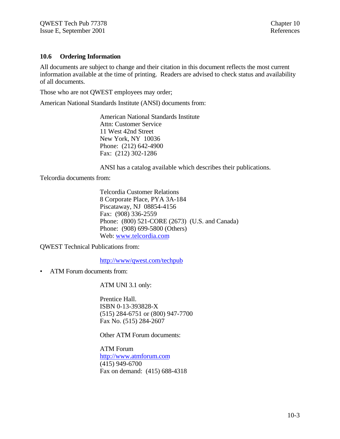#### **10.6 Ordering Information**

All documents are subject to change and their citation in this document reflects the most current information available at the time of printing. Readers are advised to check status and availability of all documents.

Those who are not QWEST employees may order;

American National Standards Institute (ANSI) documents from:

American National Standards Institute Attn: Customer Service 11 West 42nd Street New York, NY 10036 Phone: (212) 642-4900 Fax: (212) 302-1286

ANSI has a catalog available which describes their publications.

Telcordia documents from:

Telcordia Customer Relations 8 Corporate Place, PYA 3A-184 Piscataway, NJ 08854-4156 Fax: (908) 336-2559 Phone: (800) 521-CORE (2673) (U.S. and Canada) Phone: (908) 699-5800 (Others) Web: www.telcordia.com

QWEST Technical Publications from:

http://www/qwest.com/techpub

• ATM Forum documents from:

ATM UNI 3.1 only:

Prentice Hall. ISBN 0-13-393828-X (515) 284-6751 or (800) 947-7700 Fax No. (515) 284-2607

Other ATM Forum documents:

ATM Forum http://www.atmforum.com (415) 949-6700 Fax on demand: (415) 688-4318